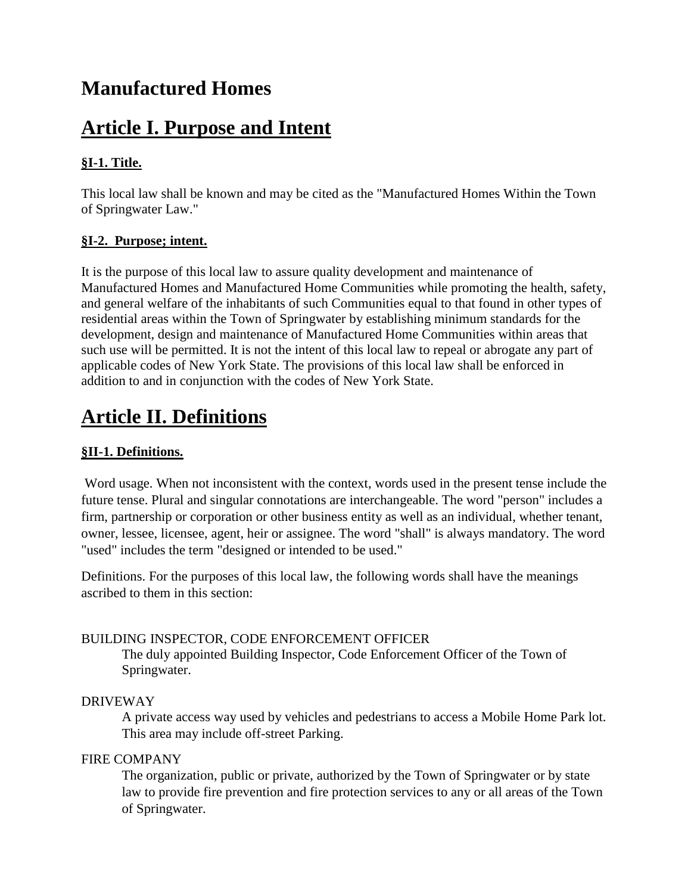# **Manufactured Homes**

# **Article I. Purpose and Intent**

# **§I-1. Title.**

This local law shall be known and may be cited as the "Manufactured Homes Within the Town of Springwater Law."

## **§I-2. Purpose; intent.**

It is the purpose of this local law to assure quality development and maintenance of Manufactured Homes and Manufactured Home Communities while promoting the health, safety, and general welfare of the inhabitants of such Communities equal to that found in other types of residential areas within the Town of Springwater by establishing minimum standards for the development, design and maintenance of Manufactured Home Communities within areas that such use will be permitted. It is not the intent of this local law to repeal or abrogate any part of applicable codes of New York State. The provisions of this local law shall be enforced in addition to and in conjunction with the codes of New York State.

# **Article II. Definitions**

# **§II-1. Definitions.**

Word usage. When not inconsistent with the context, words used in the present tense include the future tense. Plural and singular connotations are interchangeable. The word "person" includes a firm, partnership or corporation or other business entity as well as an individual, whether tenant, owner, lessee, licensee, agent, heir or assignee. The word "shall" is always mandatory. The word "used" includes the term "designed or intended to be used."

Definitions. For the purposes of this local law, the following words shall have the meanings ascribed to them in this section:

## BUILDING INSPECTOR, CODE ENFORCEMENT OFFICER

The duly appointed Building Inspector, Code Enforcement Officer of the Town of Springwater.

## DRIVEWAY

A private access way used by vehicles and pedestrians to access a Mobile Home Park lot. This area may include off-street Parking.

## FIRE COMPANY

The organization, public or private, authorized by the Town of Springwater or by state law to provide fire prevention and fire protection services to any or all areas of the Town of Springwater.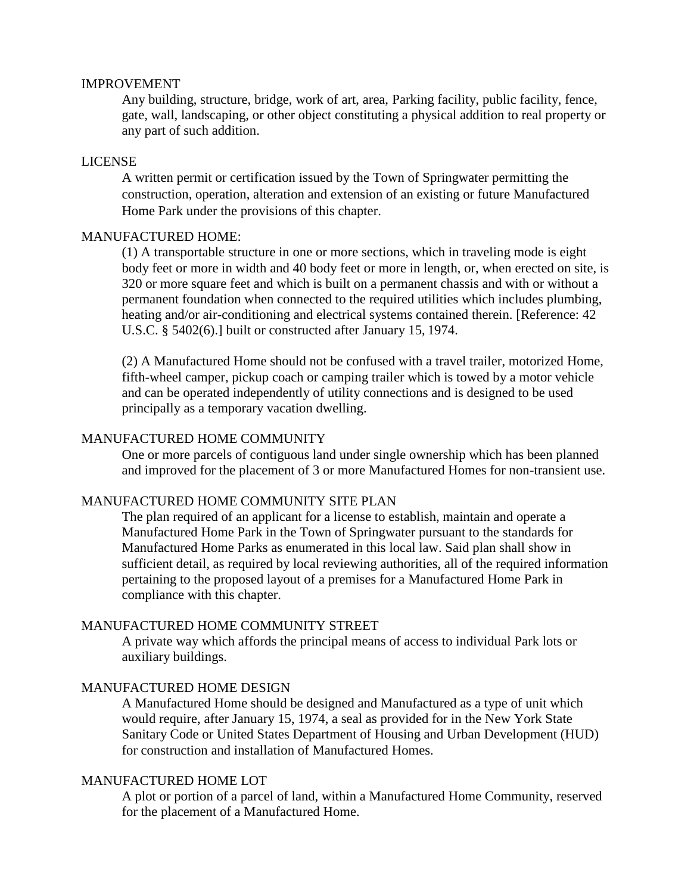#### IMPROVEMENT

Any building, structure, bridge, work of art, area, Parking facility, public facility, fence, gate, wall, landscaping, or other object constituting a physical addition to real property or any part of such addition.

#### LICENSE

A written permit or certification issued by the Town of Springwater permitting the construction, operation, alteration and extension of an existing or future Manufactured Home Park under the provisions of this chapter.

#### [MANUFACTURED](http://www.ecode360.com/11045069#11045069) HOME:

[\(1\)](http://www.ecode360.com/11045070#11045070) A transportable structure in one or more sections, which in traveling mode is eight body feet or more in width and 40 body feet or more in length, or, when erected on site, is 320 or more square feet and which is built on a permanent chassis and with or without a permanent foundation when connected to the required utilities which includes plumbing, heating and/or air-conditioning and electrical systems contained therein. [Reference: 42 U.S.C. § 5402(6).] built or constructed after January 15, 1974.

[\(2\)](http://www.ecode360.com/11045071#11045071) A Manufactured Home should not be confused with a travel trailer, motorized Home, fifth-wheel camper, pickup coach or camping trailer which is towed by a motor vehicle and can be operated independently of utility connections and is designed to be used principally as a temporary vacation dwelling.

#### [MANUFACTURED](http://www.ecode360.com/11045072#11045072) HOME COMMUNITY

One or more parcels of contiguous land under single ownership which has been planned and improved for the placement of 3 or more Manufactured Homes for non-transient use.

#### MANUFACTURED HOME COMMUNITY SITE PLAN

The plan required of an applicant for a license to establish, maintain and operate a Manufactured Home Park in the Town of Springwater pursuant to the standards for Manufactured Home Parks as enumerated in this local law. Said plan shall show in sufficient detail, as required by local reviewing authorities, all of the required information pertaining to the proposed layout of a premises for a Manufactured Home Park in compliance with this chapter.

#### MANUFACTURED HOME COMMUNITY STREET

A private way which affords the principal means of access to individual Park lots or auxiliary buildings.

#### [MANUFACTURED](http://www.ecode360.com/11045073#11045073) HOME DESIGN

A Manufactured Home should be designed and Manufactured as a type of unit which would require, after January 15, 1974, a seal as provided for in the New York State Sanitary Code or United States Department of Housing and Urban Development (HUD) for construction and installation of Manufactured Homes.

#### [MANUFACTURED](http://www.ecode360.com/11045074#11045074) HOME LOT

A plot or portion of a parcel of land, within a Manufactured Home Community, reserved for the placement of a Manufactured Home.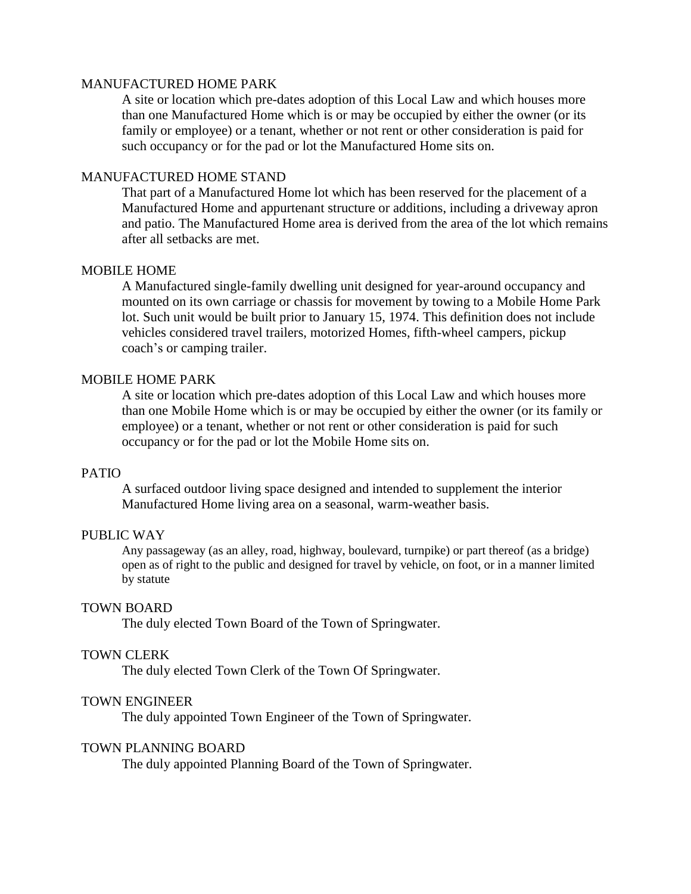#### MANUFACTURED HOME PARK

A site or location which pre-dates adoption of this Local Law and which houses more than one Manufactured Home which is or may be occupied by either the owner (or its family or employee) or a tenant, whether or not rent or other consideration is paid for such occupancy or for the pad or lot the Manufactured Home sits on.

#### [MANUFACTURED](http://www.ecode360.com/11045075#11045075) HOME STAND

That part of a Manufactured Home lot which has been reserved for the placement of a Manufactured Home and appurtenant structure or additions, including a driveway apron and patio. The Manufactured Home area is derived from the area of the lot which remains after all setbacks are met.

#### MOBILE HOME

A Manufactured single-family dwelling unit designed for year-around occupancy and mounted on its own carriage or chassis for movement by towing to a Mobile Home Park lot. Such unit would be built prior to January 15, 1974. This definition does not include vehicles considered travel trailers, motorized Homes, fifth-wheel campers, pickup coach's or camping trailer.

#### MOBILE HOME PARK

A site or location which pre-dates adoption of this Local Law and which houses more than one Mobile Home which is or may be occupied by either the owner (or its family or employee) or a tenant, whether or not rent or other consideration is paid for such occupancy or for the pad or lot the Mobile Home sits on.

#### PATIO

A surfaced outdoor living space designed and intended to supplement the interior Manufactured Home living area on a seasonal, warm-weather basis.

#### PUBLIC WAY

Any passageway (as an alley, road, highway, boulevard, turnpike) or part thereof (as a bridge) open as of right to the public and designed for travel by vehicle, on foot, or in a manner limited by statute

#### TOWN BOARD

The duly elected Town Board of the Town of Springwater.

#### TOWN CLERK

The duly elected Town Clerk of the Town Of Springwater.

#### TOWN ENGINEER

The duly appointed Town Engineer of the Town of Springwater.

#### TOWN PLANNING BOARD

The duly appointed Planning Board of the Town of Springwater.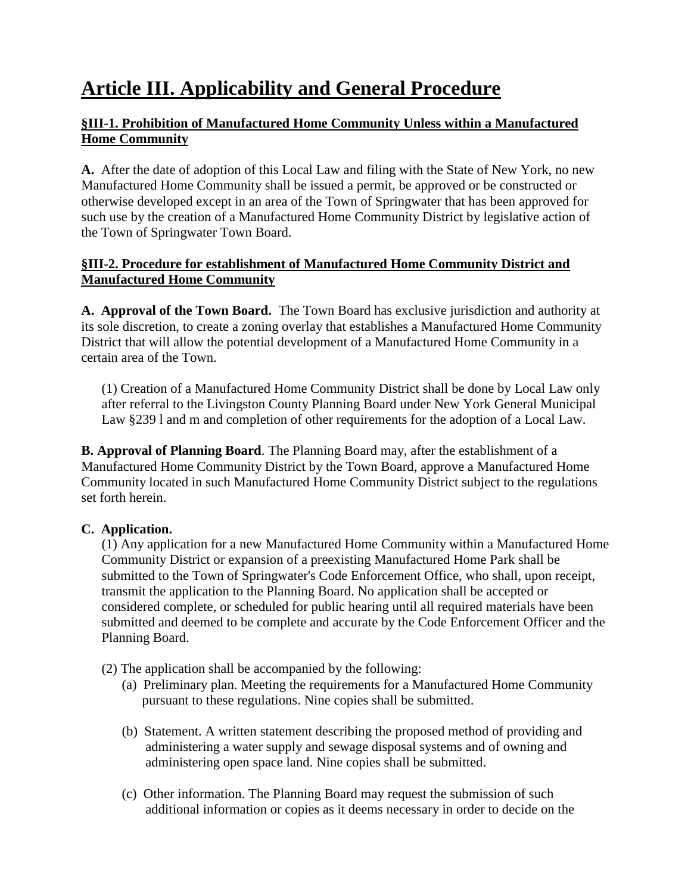# **Article III. Applicability and General Procedure**

# **§III-1. Prohibition of Manufactured Home Community Unless within a Manufactured Home Community**

**A.** After the date of adoption of this Local Law and filing with the State of New York, no new Manufactured Home Community shall be issued a permit, be approved or be constructed or otherwise developed except in an area of the Town of Springwater that has been approved for such use by the creation of a Manufactured Home Community District by legislative action of the Town of Springwater Town Board.

# **§III-2. Procedure for establishment of Manufactured Home Community District and Manufactured Home Community**

**A. Approval of the Town Board.** The Town Board has exclusive jurisdiction and authority at its sole discretion, to create a zoning overlay that establishes a Manufactured Home Community District that will allow the potential development of a Manufactured Home Community in a certain area of the Town.

(1) Creation of a Manufactured Home Community District shall be done by Local Law only after referral to the Livingston County Planning Board under New York General Municipal Law §239 l and m and completion of other requirements for the adoption of a Local Law.

**B. Approval of Planning Board**. The Planning Board may, after the establishment of a Manufactured Home Community District by the Town Board, approve a Manufactured Home Community located in such Manufactured Home Community District subject to the regulations set forth herein.

# **C. Application.**

(1) Any application for a new Manufactured Home Community within a Manufactured Home Community District or expansion of a preexisting Manufactured Home Park shall be submitted to the Town of Springwater's Code Enforcement Office, who shall, upon receipt, transmit the application to the Planning Board. No application shall be accepted or considered complete, or scheduled for public hearing until all required materials have been submitted and deemed to be complete and accurate by the Code Enforcement Officer and the Planning Board.

- (2) The application shall be accompanied by the following:
	- (a) Preliminary plan. Meeting the requirements for a Manufactured Home Community pursuant to these regulations. Nine copies shall be submitted.
	- (b) Statement. A written statement describing the proposed method of providing and administering a water supply and sewage disposal systems and of owning and administering open space land. Nine copies shall be submitted.
	- (c) Other information. The Planning Board may request the submission of such additional information or copies as it deems necessary in order to decide on the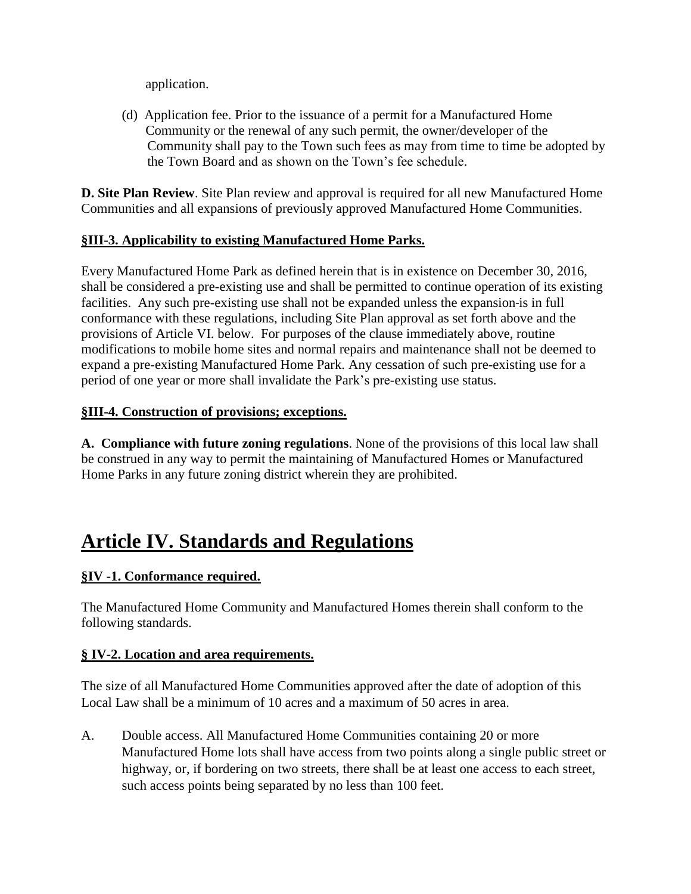application.

(d) Application fee. Prior to the issuance of a permit for a Manufactured Home Community or the renewal of any such permit, the owner/developer of the Community shall pay to the Town such fees as may from time to time be adopted by the Town Board and as shown on the Town's fee schedule.

**D. Site Plan Review**. Site Plan review and approval is required for all new Manufactured Home Communities and all expansions of previously approved Manufactured Home Communities.

# **§III-3. Applicability to existing Manufactured Home Parks.**

Every Manufactured Home Park as defined herein that is in existence on December 30, 2016, shall be considered a pre-existing use and shall be permitted to continue operation of its existing facilities. Any such pre-existing use shall not be expanded unless the expansion is in full conformance with these regulations, including Site Plan approval as set forth above and the provisions of Article VI. below. For purposes of the clause immediately above, routine modifications to mobile home sites and normal repairs and maintenance shall not be deemed to expand a pre-existing Manufactured Home Park. Any cessation of such pre-existing use for a period of one year or more shall invalidate the Park's pre-existing use status.

# **§III-4. Construction of provisions; exceptions.**

**A. Compliance with future zoning regulations**. None of the provisions of this local law shall be construed in any way to permit the maintaining of Manufactured Homes or Manufactured Home Parks in any future zoning district wherein they are prohibited.

# **Article IV. Standards and Regulations**

# **§IV -1. Conformance required.**

The Manufactured Home Community and Manufactured Homes therein shall conform to the following standards.

## **§ IV-2. Location and area requirements.**

The size of all Manufactured Home Communities approved after the date of adoption of this Local Law shall be a minimum of 10 acres and a maximum of 50 acres in area.

A. Double access. All Manufactured Home Communities containing 20 or more Manufactured Home lots shall have access from two points along a single public street or highway, or, if bordering on two streets, there shall be at least one access to each street, such access points being separated by no less than 100 feet.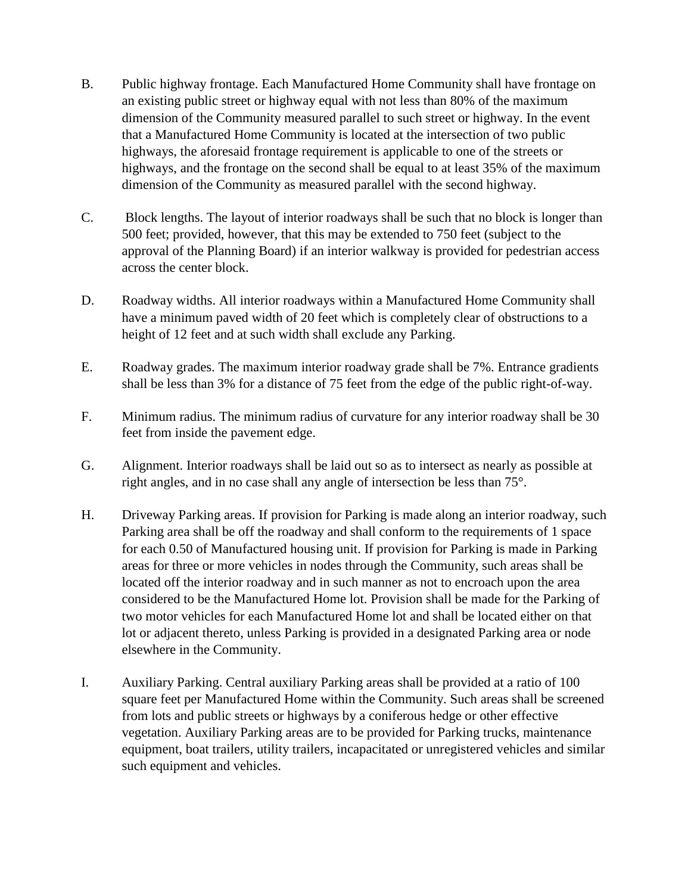- B. Public highway frontage. Each Manufactured Home Community shall have frontage on an existing public street or highway equal with not less than 80% of the maximum dimension of the Community measured parallel to such street or highway. In the event that a Manufactured Home Community is located at the intersection of two public highways, the aforesaid frontage requirement is applicable to one of the streets or highways, and the frontage on the second shall be equal to at least 35% of the maximum dimension of the Community as measured parallel with the second highway.
- C. Block lengths. The layout of interior roadways shall be such that no block is longer than 500 feet; provided, however, that this may be extended to 750 feet (subject to the approval of the Planning Board) if an interior walkway is provided for pedestrian access across the center block.
- D. Roadway widths. All interior roadways within a Manufactured Home Community shall have a minimum paved width of 20 feet which is completely clear of obstructions to a height of 12 feet and at such width shall exclude any Parking.
- E. Roadway grades. The maximum interior roadway grade shall be 7%. Entrance gradients shall be less than 3% for a distance of 75 feet from the edge of the public right-of-way.
- F. Minimum radius. The minimum radius of curvature for any interior roadway shall be 30 feet from inside the pavement edge.
- G. Alignment. Interior roadways shall be laid out so as to intersect as nearly as possible at right angles, and in no case shall any angle of intersection be less than 75°.
- H. Driveway Parking areas. If provision for Parking is made along an interior roadway, such Parking area shall be off the roadway and shall conform to the requirements of 1 space for each 0.50 of Manufactured housing unit. If provision for Parking is made in Parking areas for three or more vehicles in nodes through the Community, such areas shall be located off the interior roadway and in such manner as not to encroach upon the area considered to be the Manufactured Home lot. Provision shall be made for the Parking of two motor vehicles for each Manufactured Home lot and shall be located either on that lot or adjacent thereto, unless Parking is provided in a designated Parking area or node elsewhere in the Community.
- I. Auxiliary Parking. Central auxiliary Parking areas shall be provided at a ratio of 100 square feet per Manufactured Home within the Community. Such areas shall be screened from lots and public streets or highways by a coniferous hedge or other effective vegetation. Auxiliary Parking areas are to be provided for Parking trucks, maintenance equipment, boat trailers, utility trailers, incapacitated or unregistered vehicles and similar such equipment and vehicles.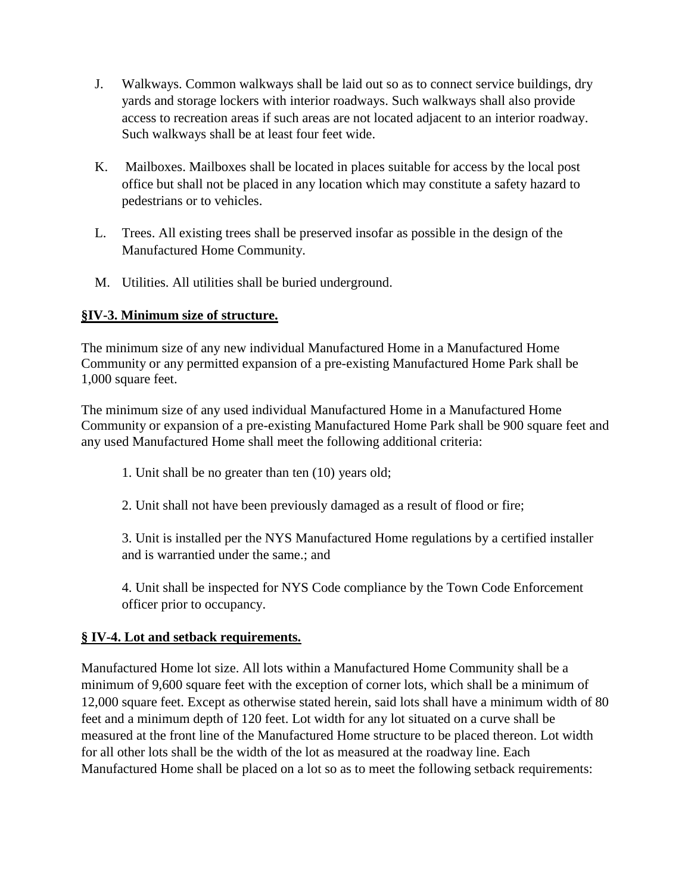- J. Walkways. Common walkways shall be laid out so as to connect service buildings, dry yards and storage lockers with interior roadways. Such walkways shall also provide access to recreation areas if such areas are not located adjacent to an interior roadway. Such walkways shall be at least four feet wide.
- K. Mailboxes. Mailboxes shall be located in places suitable for access by the local post office but shall not be placed in any location which may constitute a safety hazard to pedestrians or to vehicles.
- L. Trees. All existing trees shall be preserved insofar as possible in the design of the Manufactured Home Community.
- M. Utilities. All utilities shall be buried underground.

# **§IV-3. Minimum size of structure.**

The minimum size of any new individual Manufactured Home in a Manufactured Home Community or any permitted expansion of a pre-existing Manufactured Home Park shall be 1,000 square feet.

The minimum size of any used individual Manufactured Home in a Manufactured Home Community or expansion of a pre-existing Manufactured Home Park shall be 900 square feet and any used Manufactured Home shall meet the following additional criteria:

- 1. Unit shall be no greater than ten (10) years old;
- 2. Unit shall not have been previously damaged as a result of flood or fire;

3. Unit is installed per the NYS Manufactured Home regulations by a certified installer and is warrantied under the same.; and

4. Unit shall be inspected for NYS Code compliance by the Town Code Enforcement officer prior to occupancy.

## **§ IV-4. Lot and setback requirements.**

Manufactured Home lot size. All lots within a Manufactured Home Community shall be a minimum of 9,600 square feet with the exception of corner lots, which shall be a minimum of 12,000 square feet. Except as otherwise stated herein, said lots shall have a minimum width of 80 feet and a minimum depth of 120 feet. Lot width for any lot situated on a curve shall be measured at the front line of the Manufactured Home structure to be placed thereon. Lot width for all other lots shall be the width of the lot as measured at the roadway line. Each Manufactured Home shall be placed on a lot so as to meet the following setback requirements: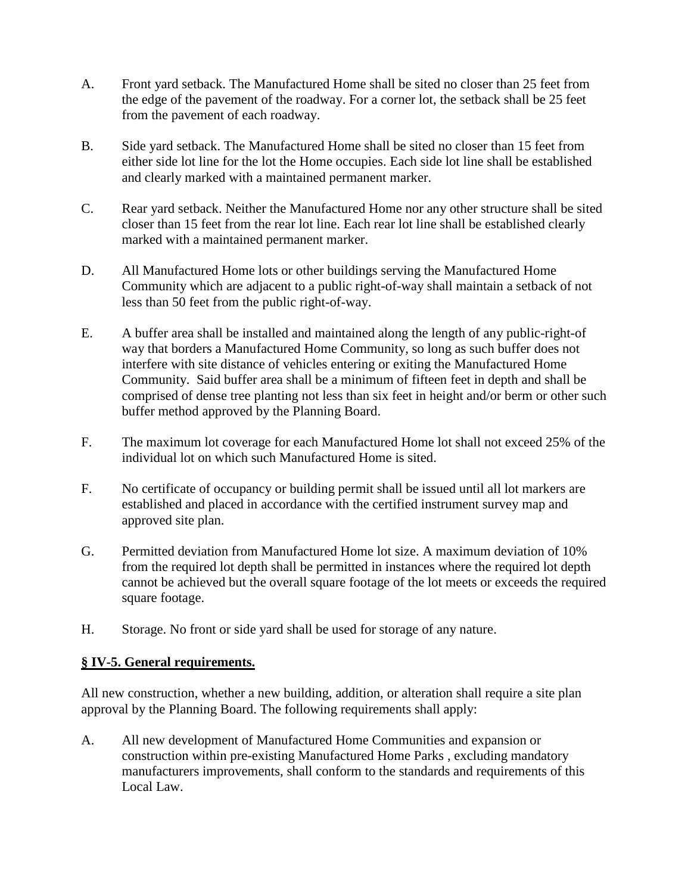- A. Front yard setback. The Manufactured Home shall be sited no closer than 25 feet from the edge of the pavement of the roadway. For a corner lot, the setback shall be 25 feet from the pavement of each roadway.
- B. Side yard setback. The Manufactured Home shall be sited no closer than 15 feet from either side lot line for the lot the Home occupies. Each side lot line shall be established and clearly marked with a maintained permanent marker.
- C. Rear yard setback. Neither the Manufactured Home nor any other structure shall be sited closer than 15 feet from the rear lot line. Each rear lot line shall be established clearly marked with a maintained permanent marker.
- D. All Manufactured Home lots or other buildings serving the Manufactured Home Community which are adjacent to a public right-of-way shall maintain a setback of not less than 50 feet from the public right-of-way.
- E. A buffer area shall be installed and maintained along the length of any public-right-of way that borders a Manufactured Home Community, so long as such buffer does not interfere with site distance of vehicles entering or exiting the Manufactured Home Community. Said buffer area shall be a minimum of fifteen feet in depth and shall be comprised of dense tree planting not less than six feet in height and/or berm or other such buffer method approved by the Planning Board.
- F. The maximum lot coverage for each Manufactured Home lot shall not exceed 25% of the individual lot on which such Manufactured Home is sited.
- F. No certificate of occupancy or building permit shall be issued until all lot markers are established and placed in accordance with the certified instrument survey map and approved site plan.
- G. Permitted deviation from Manufactured Home lot size. A maximum deviation of 10% from the required lot depth shall be permitted in instances where the required lot depth cannot be achieved but the overall square footage of the lot meets or exceeds the required square footage.
- H. Storage. No front or side yard shall be used for storage of any nature.

## **§ IV-5. General requirements.**

All new construction, whether a new building, addition, or alteration shall require a site plan approval by the Planning Board. The following requirements shall apply:

A. All new development of Manufactured Home Communities and expansion or construction within pre-existing Manufactured Home Parks , excluding mandatory manufacturers improvements, shall conform to the standards and requirements of this Local Law.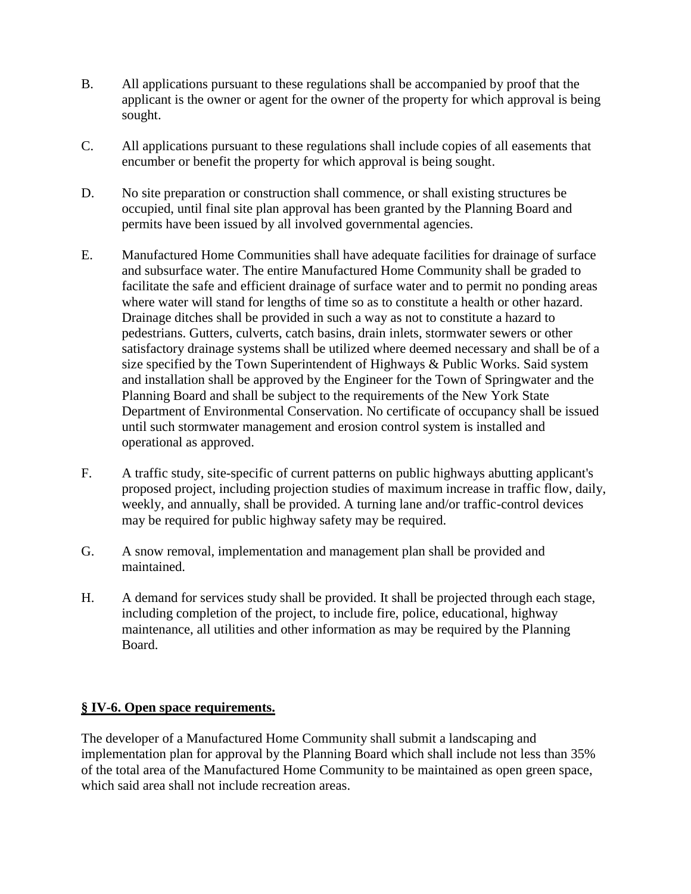- B. All applications pursuant to these regulations shall be accompanied by proof that the applicant is the owner or agent for the owner of the property for which approval is being sought.
- C. All applications pursuant to these regulations shall include copies of all easements that encumber or benefit the property for which approval is being sought.
- D. No site preparation or construction shall commence, or shall existing structures be occupied, until final site plan approval has been granted by the Planning Board and permits have been issued by all involved governmental agencies.
- E. Manufactured Home Communities shall have adequate facilities for drainage of surface and subsurface water. The entire Manufactured Home Community shall be graded to facilitate the safe and efficient drainage of surface water and to permit no ponding areas where water will stand for lengths of time so as to constitute a health or other hazard. Drainage ditches shall be provided in such a way as not to constitute a hazard to pedestrians. Gutters, culverts, catch basins, drain inlets, stormwater sewers or other satisfactory drainage systems shall be utilized where deemed necessary and shall be of a size specified by the Town Superintendent of Highways & Public Works. Said system and installation shall be approved by the Engineer for the Town of Springwater and the Planning Board and shall be subject to the requirements of the New York State Department of Environmental Conservation. No certificate of occupancy shall be issued until such stormwater management and erosion control system is installed and operational as approved.
- F. A traffic study, site-specific of current patterns on public highways abutting applicant's proposed project, including projection studies of maximum increase in traffic flow, daily, weekly, and annually, shall be provided. A turning lane and/or traffic-control devices may be required for public highway safety may be required.
- G. A snow removal, implementation and management plan shall be provided and maintained.
- H. A demand for services study shall be provided. It shall be projected through each stage, including completion of the project, to include fire, police, educational, highway maintenance, all utilities and other information as may be required by the Planning Board.

## **§ [IV-6. Open space requirements.](http://www.ecode360.com/print/MA1025?guid=11043504,11043505,11043506,11043507,11043517,11043518,11043523,11043524,11043525,11043526,11043533,11043543,11043544,11043545,11043548,11043551,11043553,11043563,11043564,11043567,11043572,11043577,11043578,11043579,11043580,11043593,11043597,11043602,11043603,11043604,11043615,11043618,11043621,11043625,11043628,11043629,11043631,11043632,11043633,11043634,11043635,11043644,11043645,11043651,11043652,11043656,11043659,11043662,11043666,11043667,11043668,11043669,11043679,11043680,11043681,11043685,11043688,11043689,11043690,11043691,11043693,11043696,11043697,11043698,11043711,11043714,11043727,11043728,11043730,11043731,11043734&children=true#11043543)**

The developer of a Manufactured Home Community shall submit a landscaping and implementation plan for approval by the Planning Board which shall include not less than 35% of the total area of the Manufactured Home Community to be maintained as open green space, which said area shall not include recreation areas.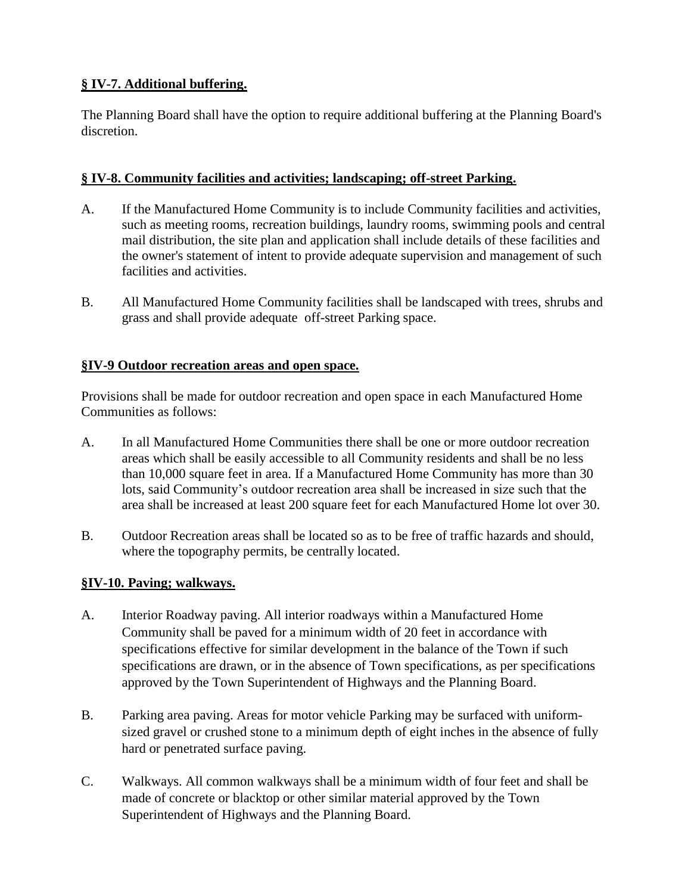# **§ [IV-7. Additional buffering.](http://www.ecode360.com/print/MA1025?guid=11043504,11043505,11043506,11043507,11043517,11043518,11043523,11043524,11043525,11043526,11043533,11043543,11043544,11043545,11043548,11043551,11043553,11043563,11043564,11043567,11043572,11043577,11043578,11043579,11043580,11043593,11043597,11043602,11043603,11043604,11043615,11043618,11043621,11043625,11043628,11043629,11043631,11043632,11043633,11043634,11043635,11043644,11043645,11043651,11043652,11043656,11043659,11043662,11043666,11043667,11043668,11043669,11043679,11043680,11043681,11043685,11043688,11043689,11043690,11043691,11043693,11043696,11043697,11043698,11043711,11043714,11043727,11043728,11043730,11043731,11043734&children=true#11043544)**

The Planning Board shall have the option to require additional buffering at the Planning Board's discretion.

## **§ IV-8. Community [facilities and activities; landscaping; off-street Parking.](http://www.ecode360.com/print/MA1025?guid=11043504,11043505,11043506,11043507,11043517,11043518,11043523,11043524,11043525,11043526,11043533,11043543,11043544,11043545,11043548,11043551,11043553,11043563,11043564,11043567,11043572,11043577,11043578,11043579,11043580,11043593,11043597,11043602,11043603,11043604,11043615,11043618,11043621,11043625,11043628,11043629,11043631,11043632,11043633,11043634,11043635,11043644,11043645,11043651,11043652,11043656,11043659,11043662,11043666,11043667,11043668,11043669,11043679,11043680,11043681,11043685,11043688,11043689,11043690,11043691,11043693,11043696,11043697,11043698,11043711,11043714,11043727,11043728,11043730,11043731,11043734&children=true#11043545)**

- [A.](http://www.ecode360.com/print/11043546#11043546) If the Manufactured Home Community is to include Community facilities and activities, such as meeting rooms, recreation buildings, laundry rooms, swimming pools and central mail distribution, the site plan and application shall include details of these facilities and the owner's statement of intent to provide adequate supervision and management of such facilities and activities.
- [B.](http://www.ecode360.com/print/11043547#11043547) All Manufactured Home Community facilities shall be landscaped with trees, shrubs and grass and shall provide adequate off-street Parking space.

#### **§IV-9 [Outdoor recreation areas and open space.](http://www.ecode360.com/print/MA1025?guid=11043504,11043505,11043506,11043507,11043517,11043518,11043523,11043524,11043525,11043526,11043533,11043543,11043544,11043545,11043548,11043551,11043553,11043563,11043564,11043567,11043572,11043577,11043578,11043579,11043580,11043593,11043597,11043602,11043603,11043604,11043615,11043618,11043621,11043625,11043628,11043629,11043631,11043632,11043633,11043634,11043635,11043644,11043645,11043651,11043652,11043656,11043659,11043662,11043666,11043667,11043668,11043669,11043679,11043680,11043681,11043685,11043688,11043689,11043690,11043691,11043693,11043696,11043697,11043698,11043711,11043714,11043727,11043728,11043730,11043731,11043734&children=true#11043548)**

Provisions shall be made for outdoor recreation and open space in each Manufactured Home Communities as follows:

- [A.](http://www.ecode360.com/print/11043549#11043549) In all Manufactured Home Communities there shall be one or more outdoor recreation areas which shall be easily accessible to all Community residents and shall be no less than 10,000 square feet in area. If a Manufactured Home Community has more than 30 lots, said Community's outdoor recreation area shall be increased in size such that the area shall be increased at least 200 square feet for each Manufactured Home lot over 30.
- [B.](http://www.ecode360.com/print/11043550#11043550) Outdoor Recreation areas shall be located so as to be free of traffic hazards and should, where the topography permits, be centrally located.

## **§IV-10. Paving; walkways.**

- A. Interior Roadway paving. All interior roadways within a Manufactured Home Community shall be paved for a minimum width of 20 feet in accordance with specifications effective for similar development in the balance of the Town if such specifications are drawn, or in the absence of Town specifications, as per specifications approved by the Town Superintendent of Highways and the Planning Board.
- B. Parking area paving. Areas for motor vehicle Parking may be surfaced with uniformsized gravel or crushed stone to a minimum depth of eight inches in the absence of fully hard or penetrated surface paving.
- C. Walkways. All common walkways shall be a minimum width of four feet and shall be made of concrete or blacktop or other similar material approved by the Town Superintendent of Highways and the Planning Board.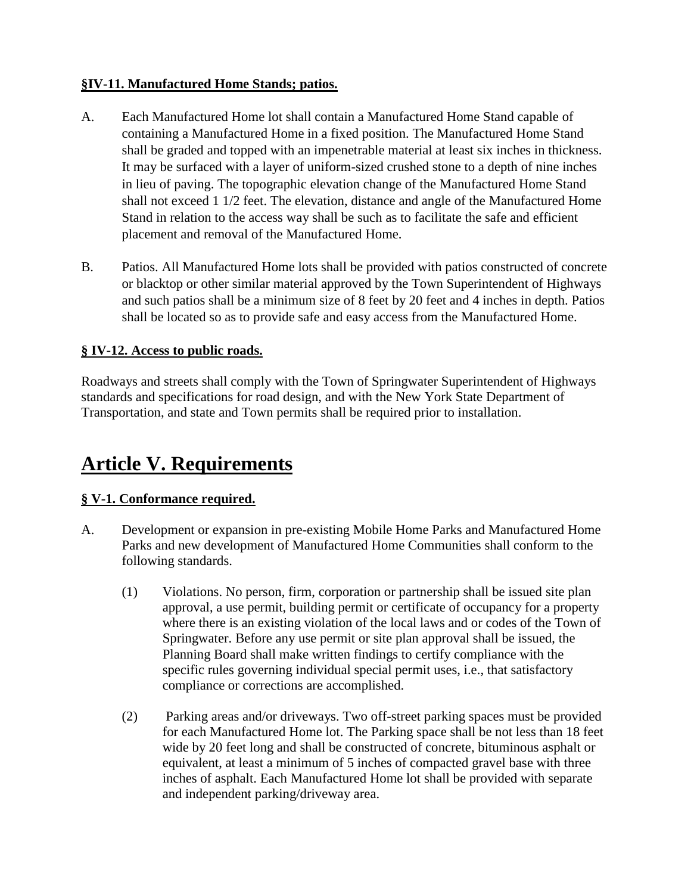# **§IV-11. Manufactured Home Stands; patios.**

- A. Each Manufactured Home lot shall contain a Manufactured Home Stand capable of containing a Manufactured Home in a fixed position. The Manufactured Home Stand shall be graded and topped with an impenetrable material at least six inches in thickness. It may be surfaced with a layer of uniform-sized crushed stone to a depth of nine inches in lieu of paving. The topographic elevation change of the Manufactured Home Stand shall not exceed 1 1/2 feet. The elevation, distance and angle of the Manufactured Home Stand in relation to the access way shall be such as to facilitate the safe and efficient placement and removal of the Manufactured Home.
- B. Patios. All Manufactured Home lots shall be provided with patios constructed of concrete or blacktop or other similar material approved by the Town Superintendent of Highways and such patios shall be a minimum size of 8 feet by 20 feet and 4 inches in depth. Patios shall be located so as to provide safe and easy access from the Manufactured Home.

# **§ IV-12. Access to public roads.**

Roadways and streets shall comply with the Town of Springwater Superintendent of Highways standards and specifications for road design, and with the New York State Department of Transportation, and state and Town permits shall be required prior to installation.

# **Article V. Requirements**

# **§ V-1. Conformance required.**

- A. Development or expansion in pre-existing Mobile Home Parks and Manufactured Home Parks and new development of Manufactured Home Communities shall conform to the following standards.
	- [\(1\)](http://www.ecode360.com/print/11043555#11043555) Violations. No person, firm, corporation or partnership shall be issued site plan approval, a use permit, building permit or certificate of occupancy for a property where there is an existing violation of the local laws and or codes of the Town of Springwater. Before any use permit or site plan approval shall be issued, the Planning Board shall make written findings to certify compliance with the specific rules governing individual special permit uses, i.e., that satisfactory compliance or corrections are accomplished.
	- [\(2\)](http://www.ecode360.com/print/11043556#11043556) Parking areas and/or driveways. Two off-street parking spaces must be provided for each Manufactured Home lot. The Parking space shall be not less than 18 feet wide by 20 feet long and shall be constructed of concrete, bituminous asphalt or equivalent, at least a minimum of 5 inches of compacted gravel base with three inches of asphalt. Each Manufactured Home lot shall be provided with separate and independent parking/driveway area.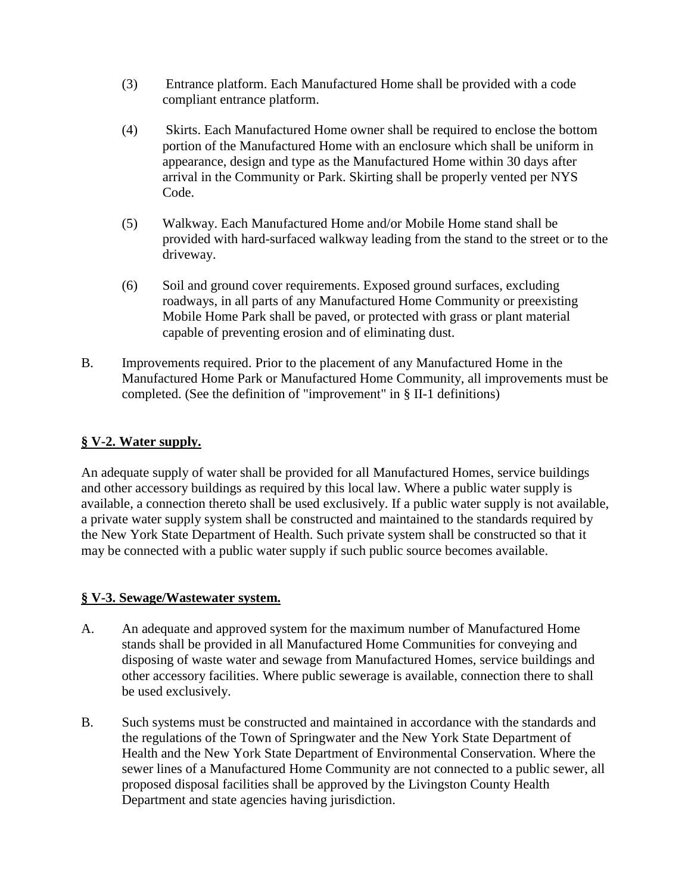- [\(3\)](http://www.ecode360.com/print/11043557#11043557) Entrance platform. Each Manufactured Home shall be provided with a code compliant entrance platform.
- [\(4\)](http://www.ecode360.com/print/11043558#11043558) Skirts. Each Manufactured Home owner shall be required to enclose the bottom portion of the Manufactured Home with an enclosure which shall be uniform in appearance, design and type as the Manufactured Home within 30 days after arrival in the Community or Park. Skirting shall be properly vented per NYS Code.
- [\(5\)](http://www.ecode360.com/print/11043559#11043559) Walkway. Each Manufactured Home and/or Mobile Home stand shall be provided with hard-surfaced walkway leading from the stand to the street or to the driveway.
- [\(6\)](http://www.ecode360.com/print/11043560#11043560) Soil and ground cover requirements. Exposed ground surfaces, excluding roadways, in all parts of any Manufactured Home Community or preexisting Mobile Home Park shall be paved, or protected with grass or plant material capable of preventing erosion and of eliminating dust.
- B. Improvements required. Prior to the placement of any Manufactured Home in the Manufactured Home Park or Manufactured Home Community, all improvements must be completed. (See the definition of "improvement" in § II-1 definitions)

# **§ V-2. Water supply.**

An adequate supply of water shall be provided for all Manufactured Homes, service buildings and other accessory buildings as required by this local law. Where a public water supply is available, a connection thereto shall be used exclusively. If a public water supply is not available, a private water supply system shall be constructed and maintained to the standards required by the New York State Department of Health. Such private system shall be constructed so that it may be connected with a public water supply if such public source becomes available.

## **§ V-3. Sewage/Wastewater system.**

- A. An adequate and approved system for the maximum number of Manufactured Home stands shall be provided in all Manufactured Home Communities for conveying and disposing of waste water and sewage from Manufactured Homes, service buildings and other accessory facilities. Where public sewerage is available, connection there to shall be used exclusively.
- B. Such systems must be constructed and maintained in accordance with the standards and the regulations of the Town of Springwater and the New York State Department of Health and the New York State Department of Environmental Conservation. Where the sewer lines of a Manufactured Home Community are not connected to a public sewer, all proposed disposal facilities shall be approved by the Livingston County Health Department and state agencies having jurisdiction.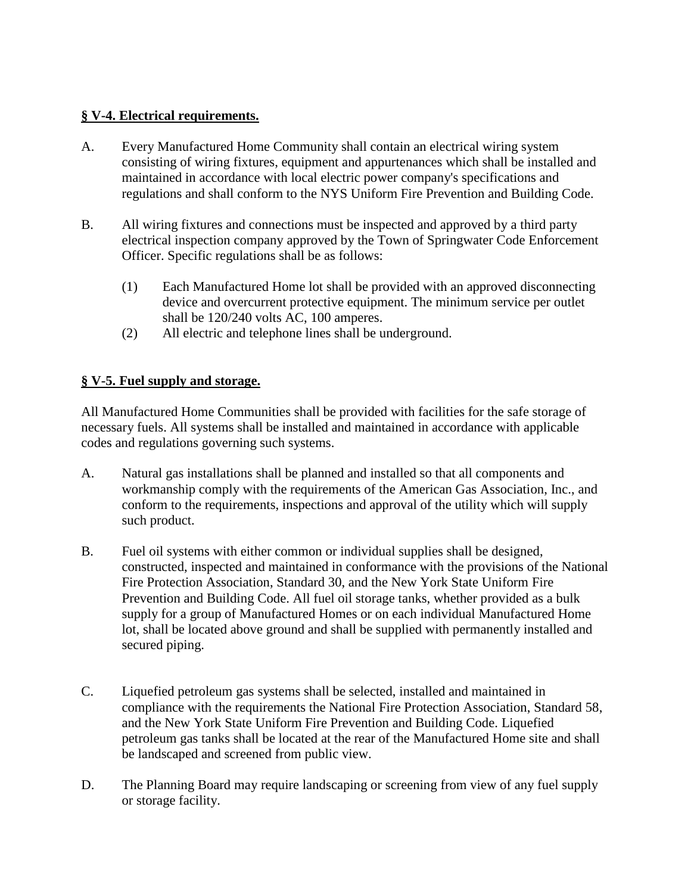## **§ V-4. Electrical requirements.**

- A. Every Manufactured Home Community shall contain an electrical wiring system consisting of wiring fixtures, equipment and appurtenances which shall be installed and maintained in accordance with local electric power company's specifications and regulations and shall conform to the NYS Uniform Fire Prevention and Building Code.
- [B.](http://www.ecode360.com/print/11043569#11043569) All wiring fixtures and connections must be inspected and approved by a third party electrical inspection company approved by the Town of Springwater Code Enforcement Officer. Specific regulations shall be as follows:
	- [\(1\)](http://www.ecode360.com/print/11043570#11043570) Each Manufactured Home lot shall be provided with an approved disconnecting device and overcurrent protective equipment. The minimum service per outlet shall be 120/240 volts AC, 100 amperes.
	- [\(2\)](http://www.ecode360.com/print/11043571#11043571) All electric and telephone lines shall be underground.

# **§ V-5. Fuel supply and storage.**

All Manufactured Home Communities shall be provided with facilities for the safe storage of necessary fuels. All systems shall be installed and maintained in accordance with applicable codes and regulations governing such systems.

- A. Natural gas installations shall be planned and installed so that all components and workmanship comply with the requirements of the American Gas Association, Inc., and conform to the requirements, inspections and approval of the utility which will supply such product.
- B. Fuel oil systems with either common or individual supplies shall be designed, constructed, inspected and maintained in conformance with the provisions of the National Fire Protection Association, Standard 30, and the New York State Uniform Fire Prevention and Building Code. All fuel oil storage tanks, whether provided as a bulk supply for a group of Manufactured Homes or on each individual Manufactured Home lot, shall be located above ground and shall be supplied with permanently installed and secured piping.
- C. Liquefied petroleum gas systems shall be selected, installed and maintained in compliance with the requirements the National Fire Protection Association, Standard 58, and the New York State Uniform Fire Prevention and Building Code. Liquefied petroleum gas tanks shall be located at the rear of the Manufactured Home site and shall be landscaped and screened from public view.
- D. The Planning Board may require landscaping or screening from view of any fuel supply or storage facility.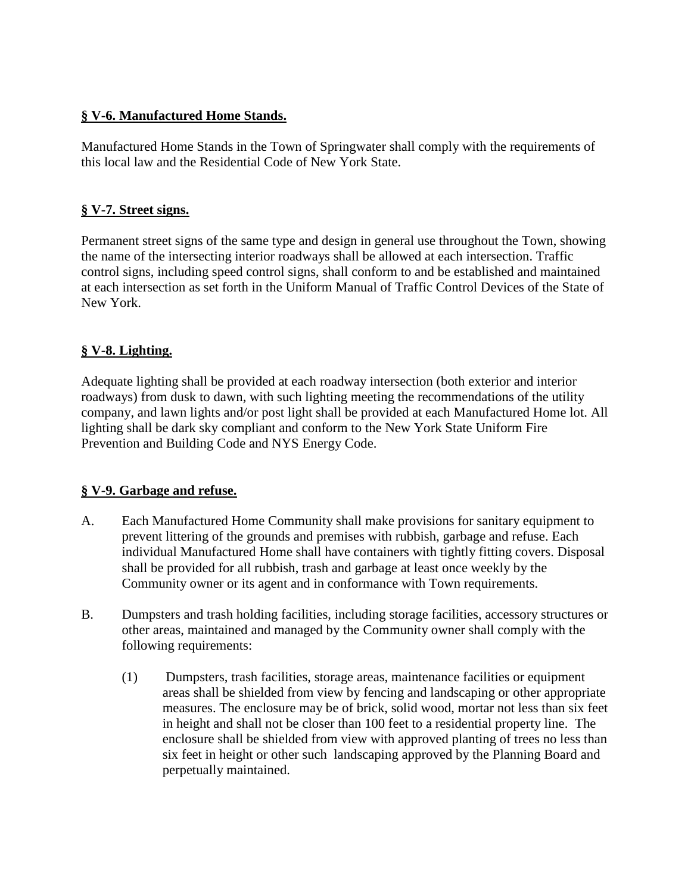## **§ V-6. Manufactured Home Stands.**

Manufactured Home Stands in the Town of Springwater shall comply with the requirements of this local law and the Residential Code of New York State.

## **§ V-7. Street signs.**

Permanent street signs of the same type and design in general use throughout the Town, showing the name of the intersecting interior roadways shall be allowed at each intersection. Traffic control signs, including speed control signs, shall conform to and be established and maintained at each intersection as set forth in the Uniform Manual of Traffic Control Devices of the State of New York.

# **§ V-8. Lighting.**

Adequate lighting shall be provided at each roadway intersection (both exterior and interior roadways) from dusk to dawn, with such lighting meeting the recommendations of the utility company, and lawn lights and/or post light shall be provided at each Manufactured Home lot. All lighting shall be dark sky compliant and conform to the New York State Uniform Fire Prevention and Building Code and NYS Energy Code.

## **§ V-9. Garbage and refuse.**

- A. Each Manufactured Home Community shall make provisions for sanitary equipment to prevent littering of the grounds and premises with rubbish, garbage and refuse. Each individual Manufactured Home shall have containers with tightly fitting covers. Disposal shall be provided for all rubbish, trash and garbage at least once weekly by the Community owner or its agent and in conformance with Town requirements.
- [B.](http://www.ecode360.com/print/11043582#11043582) Dumpsters and trash holding facilities, including storage facilities, accessory structures or other areas, maintained and managed by the Community owner shall comply with the following requirements:
	- [\(1\)](http://www.ecode360.com/print/11043583#11043583) Dumpsters, trash facilities, storage areas, maintenance facilities or equipment areas shall be shielded from view by fencing and landscaping or other appropriate measures. The enclosure may be of brick, solid wood, mortar not less than six feet in height and shall not be closer than 100 feet to a residential property line. The enclosure shall be shielded from view with approved planting of trees no less than six feet in height or other such landscaping approved by the Planning Board and perpetually maintained.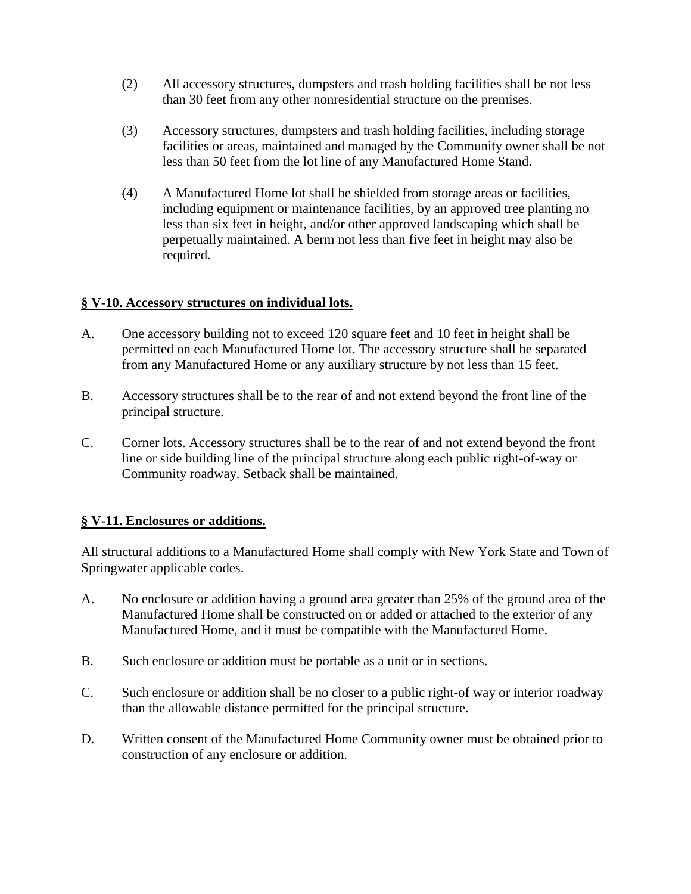- [\(2\)](http://www.ecode360.com/print/11043584#11043584) All accessory structures, dumpsters and trash holding facilities shall be not less than 30 feet from any other nonresidential structure on the premises.
- [\(3\)](http://www.ecode360.com/print/11043585#11043585) Accessory structures, dumpsters and trash holding facilities, including storage facilities or areas, maintained and managed by the Community owner shall be not less than 50 feet from the lot line of any Manufactured Home Stand.
- [\(4\)](http://www.ecode360.com/print/11043586#11043586) A Manufactured Home lot shall be shielded from storage areas or facilities, including equipment or maintenance facilities, by an approved tree planting no less than six feet in height, and/or other approved landscaping which shall be perpetually maintained. A berm not less than five feet in height may also be required.

## **§ V-10. Accessory structures on individual lots.**

- A. One accessory building not to exceed 120 square feet and 10 feet in height shall be permitted on each Manufactured Home lot. The accessory structure shall be separated from any Manufactured Home or any auxiliary structure by not less than 15 feet.
- B. Accessory structures shall be to the rear of and not extend beyond the front line of the principal structure.
- C. Corner lots. Accessory structures shall be to the rear of and not extend beyond the front line or side building line of the principal structure along each public right-of-way or Community roadway. Setback shall be maintained.

## **§ [V-11. Enclosures or additions.](http://www.ecode360.com/print/MA1025?guid=11043504,11043505,11043506,11043507,11043517,11043518,11043523,11043524,11043525,11043526,11043533,11043543,11043544,11043545,11043548,11043551,11043553,11043563,11043564,11043567,11043572,11043577,11043578,11043579,11043580,11043593,11043597,11043602,11043603,11043604,11043615,11043618,11043621,11043625,11043628,11043629,11043631,11043632,11043633,11043634,11043635,11043644,11043645,11043651,11043652,11043656,11043659,11043662,11043666,11043667,11043668,11043669,11043679,11043680,11043681,11043685,11043688,11043689,11043690,11043691,11043693,11043696,11043697,11043698,11043711,11043714,11043727,11043728,11043730,11043731,11043734&children=true#11043597)**

All structural additions to a Manufactured Home shall comply with New York State and Town of Springwater applicable codes.

- A. No enclosure or addition having a ground area greater than 25% of the ground area of the Manufactured Home shall be constructed on or added or attached to the exterior of any Manufactured Home, and it must be compatible with the Manufactured Home.
- B. Such enclosure or addition must be portable as a unit or in sections.
- C. Such enclosure or addition shall be no closer to a public right-of way or interior roadway than the allowable distance permitted for the principal structure.
- D. Written consent of the Manufactured Home Community owner must be obtained prior to construction of any enclosure or addition.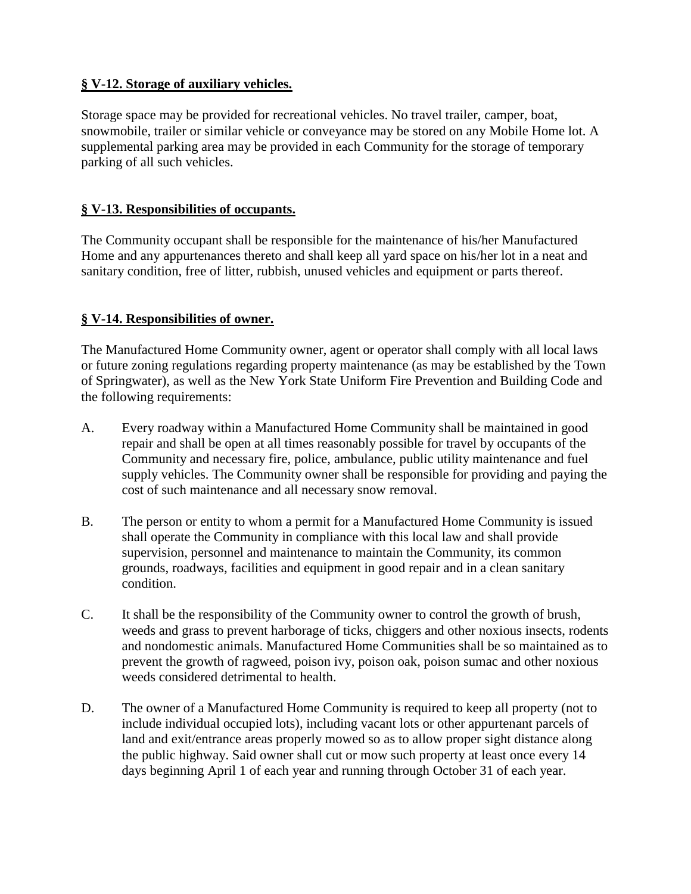## **§ V-12. Storage of auxiliary vehicles.**

Storage space may be provided for recreational vehicles. No travel trailer, camper, boat, snowmobile, trailer or similar vehicle or conveyance may be stored on any Mobile Home lot. A supplemental parking area may be provided in each Community for the storage of temporary parking of all such vehicles.

## **§ V-13. Responsibilities of occupants.**

The Community occupant shall be responsible for the maintenance of his/her Manufactured Home and any appurtenances thereto and shall keep all yard space on his/her lot in a neat and sanitary condition, free of litter, rubbish, unused vehicles and equipment or parts thereof.

## **§ V-14. Responsibilities of owner.**

The Manufactured Home Community owner, agent or operator shall comply with all local laws or future zoning regulations regarding property maintenance (as may be established by the Town of Springwater), as well as the New York State Uniform Fire Prevention and Building Code and the following requirements:

- A. Every roadway within a Manufactured Home Community shall be maintained in good repair and shall be open at all times reasonably possible for travel by occupants of the Community and necessary fire, police, ambulance, public utility maintenance and fuel supply vehicles. The Community owner shall be responsible for providing and paying the cost of such maintenance and all necessary snow removal.
- B. The person or entity to whom a permit for a Manufactured Home Community is issued shall operate the Community in compliance with this local law and shall provide supervision, personnel and maintenance to maintain the Community, its common grounds, roadways, facilities and equipment in good repair and in a clean sanitary condition.
- C. It shall be the responsibility of the Community owner to control the growth of brush, weeds and grass to prevent harborage of ticks, chiggers and other noxious insects, rodents and nondomestic animals. Manufactured Home Communities shall be so maintained as to prevent the growth of ragweed, poison ivy, poison oak, poison sumac and other noxious weeds considered detrimental to health.
- D. The owner of a Manufactured Home Community is required to keep all property (not to include individual occupied lots), including vacant lots or other appurtenant parcels of land and exit/entrance areas properly mowed so as to allow proper sight distance along the public highway. Said owner shall cut or mow such property at least once every 14 days beginning April 1 of each year and running through October 31 of each year.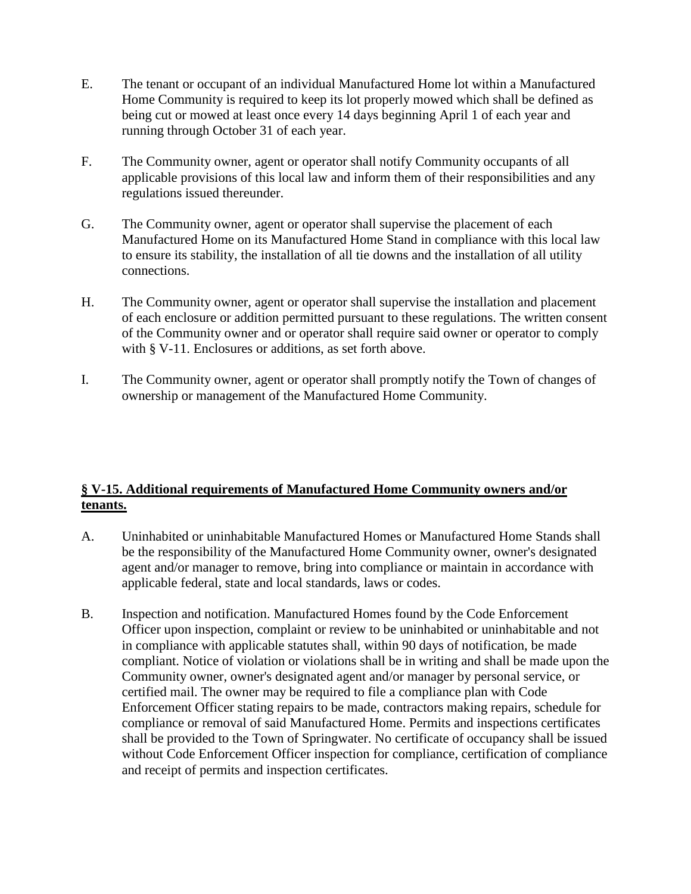- E. The tenant or occupant of an individual Manufactured Home lot within a Manufactured Home Community is required to keep its lot properly mowed which shall be defined as being cut or mowed at least once every 14 days beginning April 1 of each year and running through October 31 of each year.
- F. The Community owner, agent or operator shall notify Community occupants of all applicable provisions of this local law and inform them of their responsibilities and any regulations issued thereunder.
- G. The Community owner, agent or operator shall supervise the placement of each Manufactured Home on its Manufactured Home Stand in compliance with this local law to ensure its stability, the installation of all tie downs and the installation of all utility connections.
- H. The Community owner, agent or operator shall supervise the installation and placement of each enclosure or addition permitted pursuant to these regulations. The written consent of the Community owner and or operator shall require said owner or operator to comply with § V-11. Enclosures or additions, as set forth above.
- I. The Community owner, agent or operator shall promptly notify the Town of changes of ownership or management of the Manufactured Home Community.

## **§ V-15. Additional requirements of Manufactured Home Community owners and/or tenants.**

- A. Uninhabited or uninhabitable Manufactured Homes or Manufactured Home Stands shall be the responsibility of the Manufactured Home Community owner, owner's designated agent and/or manager to remove, bring into compliance or maintain in accordance with applicable federal, state and local standards, laws or codes.
- B. Inspection and notification. Manufactured Homes found by the Code Enforcement Officer upon inspection, complaint or review to be uninhabited or uninhabitable and not in compliance with applicable statutes shall, within 90 days of notification, be made compliant. Notice of violation or violations shall be in writing and shall be made upon the Community owner, owner's designated agent and/or manager by personal service, or certified mail. The owner may be required to file a compliance plan with Code Enforcement Officer stating repairs to be made, contractors making repairs, schedule for compliance or removal of said Manufactured Home. Permits and inspections certificates shall be provided to the Town of Springwater. No certificate of occupancy shall be issued without Code Enforcement Officer inspection for compliance, certification of compliance and receipt of permits and inspection certificates.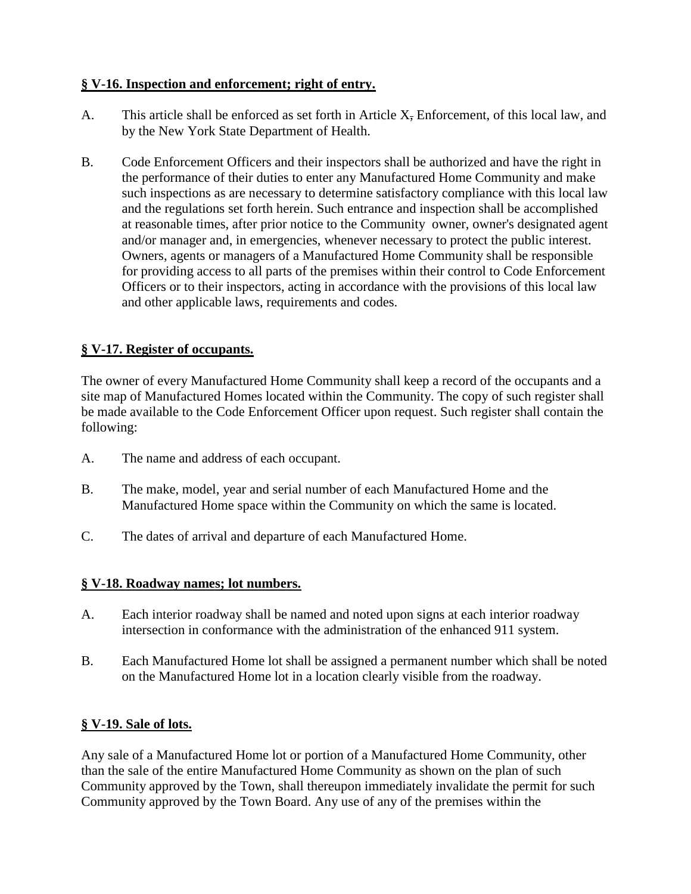## **§ V-16. Inspection and enforcement; right of entry.**

- A. This article shall be enforced as set forth in Article X, Enforcement, of this local law, and by the New York State Department of Health.
- B. Code Enforcement Officers and their inspectors shall be authorized and have the right in the performance of their duties to enter any Manufactured Home Community and make such inspections as are necessary to determine satisfactory compliance with this local law and the regulations set forth herein. Such entrance and inspection shall be accomplished at reasonable times, after prior notice to the Community owner, owner's designated agent and/or manager and, in emergencies, whenever necessary to protect the public interest. Owners, agents or managers of a Manufactured Home Community shall be responsible for providing access to all parts of the premises within their control to Code Enforcement Officers or to their inspectors, acting in accordance with the provisions of this local law and other applicable laws, requirements and codes.

# **§ V-17. Register of occupants.**

The owner of every Manufactured Home Community shall keep a record of the occupants and a site map of Manufactured Homes located within the Community. The copy of such register shall be made available to the Code Enforcement Officer upon request. Such register shall contain the following:

- A. The name and address of each occupant.
- B. The make, model, year and serial number of each Manufactured Home and the Manufactured Home space within the Community on which the same is located.
- C. The dates of arrival and departure of each Manufactured Home.

## **§ V-18. Roadway names; lot numbers.**

- A. Each interior roadway shall be named and noted upon signs at each interior roadway intersection in conformance with the administration of the enhanced 911 system.
- B. Each Manufactured Home lot shall be assigned a permanent number which shall be noted on the Manufactured Home lot in a location clearly visible from the roadway.

## **§ V-19. Sale of lots.**

Any sale of a Manufactured Home lot or portion of a Manufactured Home Community, other than the sale of the entire Manufactured Home Community as shown on the plan of such Community approved by the Town, shall thereupon immediately invalidate the permit for such Community approved by the Town Board. Any use of any of the premises within the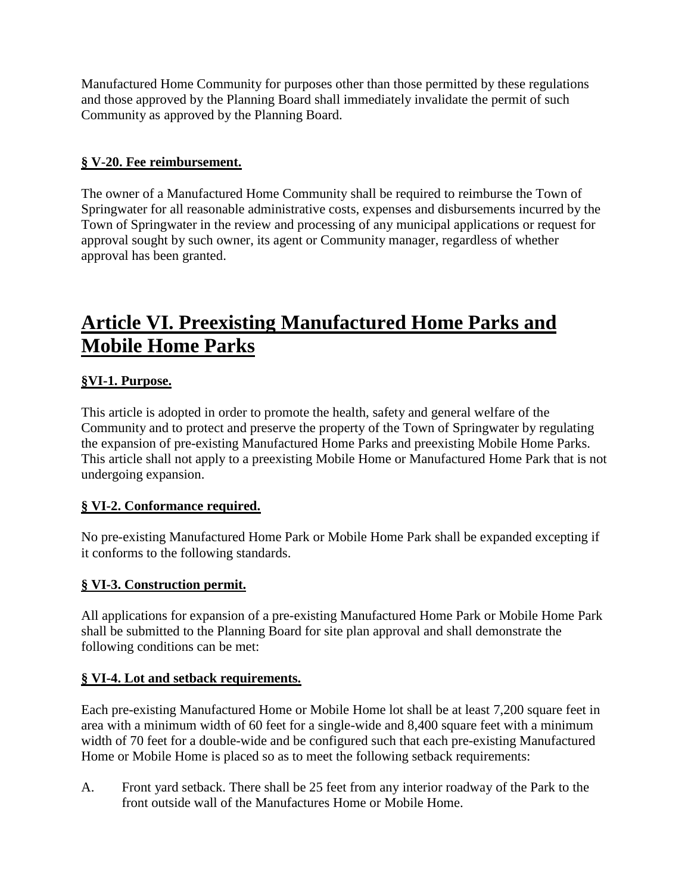Manufactured Home Community for purposes other than those permitted by these regulations and those approved by the Planning Board shall immediately invalidate the permit of such Community as approved by the Planning Board.

# **§ V-20. Fee reimbursement.**

The owner of a Manufactured Home Community shall be required to reimburse the Town of Springwater for all reasonable administrative costs, expenses and disbursements incurred by the Town of Springwater in the review and processing of any municipal applications or request for approval sought by such owner, its agent or Community manager, regardless of whether approval has been granted.

# **Article VI. Preexisting Manufactured Home Parks and Mobile Home Parks**

# **§VI-1. Purpose.**

This article is adopted in order to promote the health, safety and general welfare of the Community and to protect and preserve the property of the Town of Springwater by regulating the expansion of pre-existing Manufactured Home Parks and preexisting Mobile Home Parks. This article shall not apply to a preexisting Mobile Home or Manufactured Home Park that is not undergoing expansion.

## **§ VI-2. Conformance required.**

No pre-existing Manufactured Home Park or Mobile Home Park shall be expanded excepting if it conforms to the following standards.

## **§ VI-3. Construction permit.**

All applications for expansion of a pre-existing Manufactured Home Park or Mobile Home Park shall be submitted to the Planning Board for site plan approval and shall demonstrate the following conditions can be met:

## **§ VI-4. Lot and setback requirements.**

Each pre-existing Manufactured Home or Mobile Home lot shall be at least 7,200 square feet in area with a minimum width of 60 feet for a single-wide and 8,400 square feet with a minimum width of 70 feet for a double-wide and be configured such that each pre-existing Manufactured Home or Mobile Home is placed so as to meet the following setback requirements:

A. Front yard setback. There shall be 25 feet from any interior roadway of the Park to the front outside wall of the Manufactures Home or Mobile Home.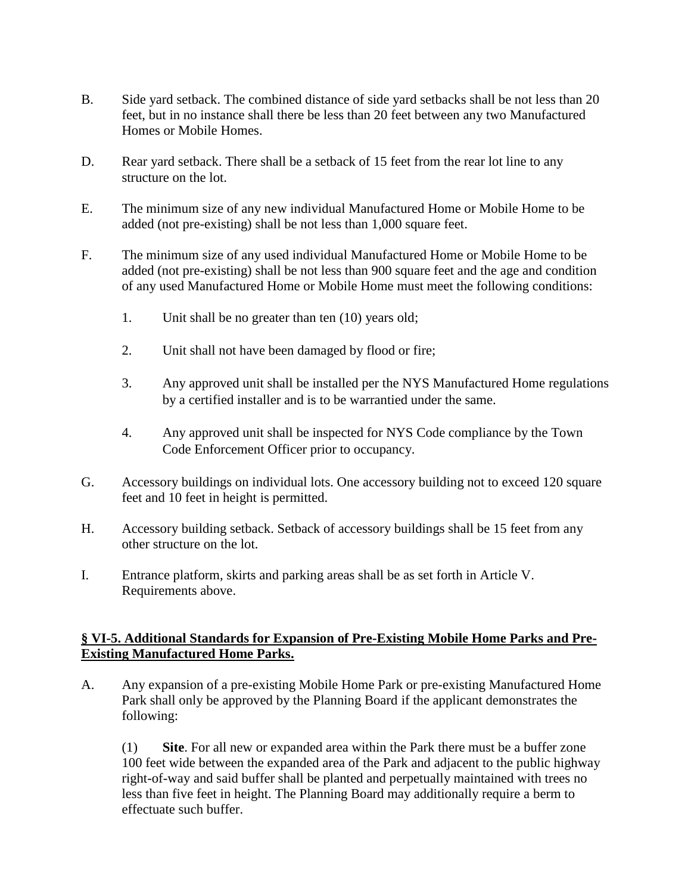- B. Side yard setback. The combined distance of side yard setbacks shall be not less than 20 feet, but in no instance shall there be less than 20 feet between any two Manufactured Homes or Mobile Homes.
- D. Rear yard setback. There shall be a setback of 15 feet from the rear lot line to any structure on the lot.
- E. The minimum size of any new individual Manufactured Home or Mobile Home to be added (not pre-existing) shall be not less than 1,000 square feet.
- F. The minimum size of any used individual Manufactured Home or Mobile Home to be added (not pre-existing) shall be not less than 900 square feet and the age and condition of any used Manufactured Home or Mobile Home must meet the following conditions:
	- 1. Unit shall be no greater than ten (10) years old;
	- 2. Unit shall not have been damaged by flood or fire;
	- 3. Any approved unit shall be installed per the NYS Manufactured Home regulations by a certified installer and is to be warrantied under the same.
	- 4. Any approved unit shall be inspected for NYS Code compliance by the Town Code Enforcement Officer prior to occupancy.
- G. Accessory buildings on individual lots. One accessory building not to exceed 120 square feet and 10 feet in height is permitted.
- H. Accessory building setback. Setback of accessory buildings shall be 15 feet from any other structure on the lot.
- I. Entrance platform, skirts and parking areas shall be as set forth in Article V. Requirements above.

#### **§ VI-5. Additional Standards for Expansion of Pre-Existing Mobile Home Parks and Pre-Existing Manufactured Home Parks.**

A. Any expansion of a pre-existing Mobile Home Park or pre-existing Manufactured Home Park shall only be approved by the Planning Board if the applicant demonstrates the following:

(1) **Site**. For all new or expanded area within the Park there must be a buffer zone 100 feet wide between the expanded area of the Park and adjacent to the public highway right-of-way and said buffer shall be planted and perpetually maintained with trees no less than five feet in height. The Planning Board may additionally require a berm to effectuate such buffer.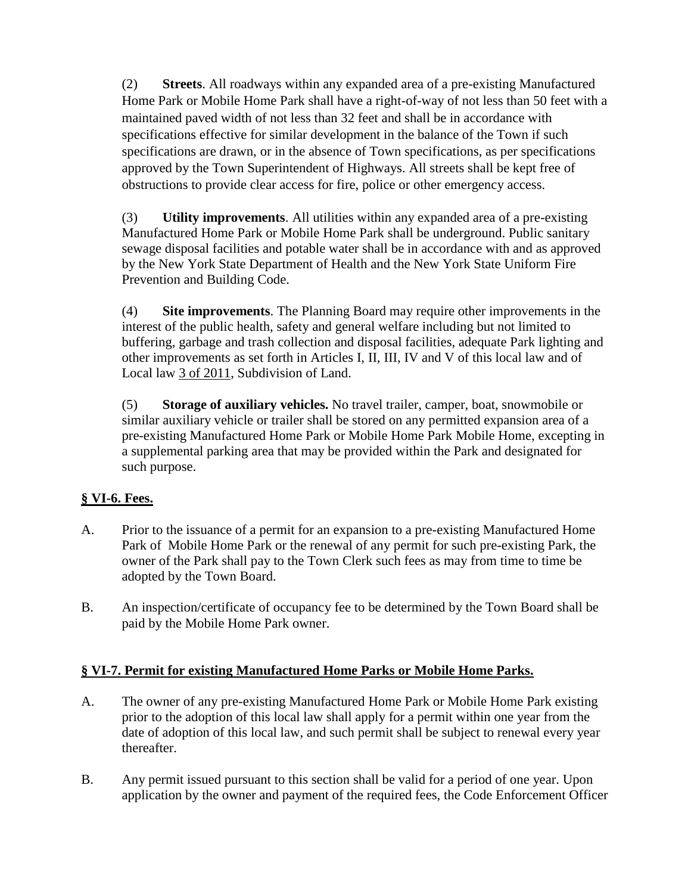(2) **Streets**. All roadways within any expanded area of a pre-existing Manufactured Home Park or Mobile Home Park shall have a right-of-way of not less than 50 feet with a maintained paved width of not less than 32 feet and shall be in accordance with specifications effective for similar development in the balance of the Town if such specifications are drawn, or in the absence of Town specifications, as per specifications approved by the Town Superintendent of Highways. All streets shall be kept free of obstructions to provide clear access for fire, police or other emergency access.

(3) **Utility improvements**. All utilities within any expanded area of a pre-existing Manufactured Home Park or Mobile Home Park shall be underground. Public sanitary sewage disposal facilities and potable water shall be in accordance with and as approved by the New York State Department of Health and the New York State Uniform Fire Prevention and Building Code.

(4) **Site improvements**. The Planning Board may require other improvements in the interest of the public health, safety and general welfare including but not limited to buffering, garbage and trash collection and disposal facilities, adequate Park lighting and other improvements as set forth in Articles [I,](http://www.ecode360.com/print/11043503#11043503) [II,](http://www.ecode360.com/print/11043522#11043522) [III,](http://www.ecode360.com/print/11043552#11043552) IV and V of this local law and of Local law [3 of 2011,](http://www.ecode360.com/print/11044321#11044321) Subdivision of Land.

(5) **Storage of auxiliary vehicles.** No travel trailer, camper, boat, snowmobile or similar auxiliary vehicle or trailer shall be stored on any permitted expansion area of a pre-existing Manufactured Home Park or Mobile Home Park Mobile Home, excepting in a supplemental parking area that may be provided within the Park and designated for such purpose.

# **§ VI-6. Fees.**

- A. Prior to the issuance of a permit for an expansion to a pre-existing Manufactured Home Park of Mobile Home Park or the renewal of any permit for such pre-existing Park, the owner of the Park shall pay to the Town Clerk such fees as may from time to time be adopted by the Town Board.
- B. An inspection/certificate of occupancy fee to be determined by the Town Board shall be paid by the Mobile Home Park owner.

# **§ VI-7. Permit for existing Manufactured Home Parks or Mobile Home Parks.**

- A. The owner of any pre-existing Manufactured Home Park or Mobile Home Park existing prior to the adoption of this local law shall apply for a permit within one year from the date of adoption of this local law, and such permit shall be subject to renewal every year thereafter.
- B. Any permit issued pursuant to this section shall be valid for a period of one year. Upon application by the owner and payment of the required fees, the Code Enforcement Officer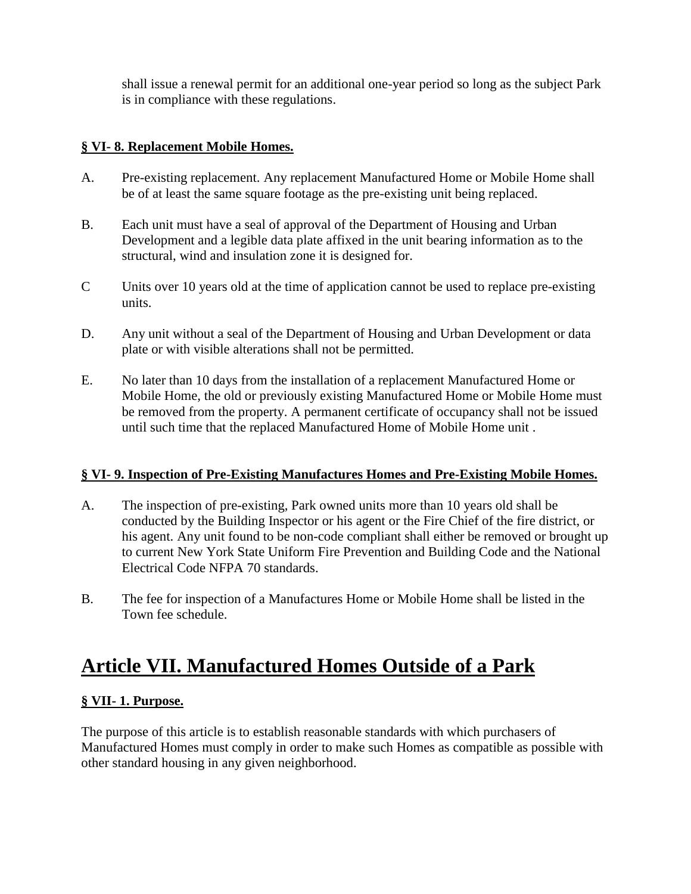shall issue a renewal permit for an additional one-year period so long as the subject Park is in compliance with these regulations.

# **§ VI- 8. Replacement Mobile Homes.**

- A. Pre-existing replacement. Any replacement Manufactured Home or Mobile Home shall be of at least the same square footage as the pre-existing unit being replaced.
- B. Each unit must have a seal of approval of the Department of Housing and Urban Development and a legible data plate affixed in the unit bearing information as to the structural, wind and insulation zone it is designed for.
- C Units over 10 years old at the time of application cannot be used to replace pre-existing units.
- D. Any unit without a seal of the Department of Housing and Urban Development or data plate or with visible alterations shall not be permitted.
- E. No later than 10 days from the installation of a replacement Manufactured Home or Mobile Home, the old or previously existing Manufactured Home or Mobile Home must be removed from the property. A permanent certificate of occupancy shall not be issued until such time that the replaced Manufactured Home of Mobile Home unit .

## **§ VI- 9. Inspection of Pre-Existing Manufactures Homes and Pre-Existing Mobile Homes.**

- A. The inspection of pre-existing, Park owned units more than 10 years old shall be conducted by the Building Inspector or his agent or the Fire Chief of the fire district, or his agent. Any unit found to be non-code compliant shall either be removed or brought up to current New York State Uniform Fire Prevention and Building Code and the National Electrical Code NFPA 70 standards.
- B. The fee for inspection of a Manufactures Home or Mobile Home shall be listed in the Town fee schedule.

# **Article VII. Manufactured Homes Outside of a Park**

# **§ VII- 1. Purpose.**

The purpose of this article is to establish reasonable standards with which purchasers of Manufactured Homes must comply in order to make such Homes as compatible as possible with other standard housing in any given neighborhood.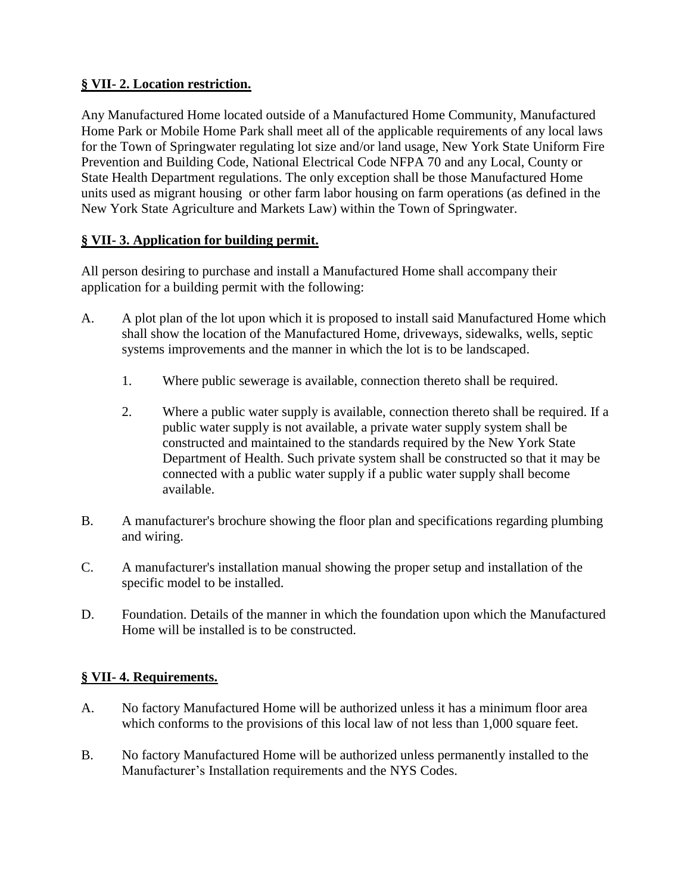# **§ VII- 2. Location restriction.**

Any Manufactured Home located outside of a Manufactured Home Community, Manufactured Home Park or Mobile Home Park shall meet all of the applicable requirements of any local laws for the Town of Springwater regulating lot size and/or land usage, New York State Uniform Fire Prevention and Building Code, National Electrical Code NFPA 70 and any Local, County or State Health Department regulations. The only exception shall be those Manufactured Home units used as migrant housing or other farm labor housing on farm operations (as defined in the New York State Agriculture and Markets Law) within the Town of Springwater.

# **§ VII- 3. Application for building permit.**

All person desiring to purchase and install a Manufactured Home shall accompany their application for a building permit with the following:

- A. A plot plan of the lot upon which it is proposed to install said Manufactured Home which shall show the location of the Manufactured Home, driveways, sidewalks, wells, septic systems improvements and the manner in which the lot is to be landscaped.
	- 1. Where public sewerage is available, connection thereto shall be required.
	- 2. Where a public water supply is available, connection thereto shall be required. If a public water supply is not available, a private water supply system shall be constructed and maintained to the standards required by the New York State Department of Health. Such private system shall be constructed so that it may be connected with a public water supply if a public water supply shall become available.
- B. A manufacturer's brochure showing the floor plan and specifications regarding plumbing and wiring.
- C. A manufacturer's installation manual showing the proper setup and installation of the specific model to be installed.
- D. Foundation. Details of the manner in which the foundation upon which the Manufactured Home will be installed is to be constructed.

# **§ VII- 4. Requirements.**

- A. No factory Manufactured Home will be authorized unless it has a minimum floor area which conforms to the provisions of this local law of not less than 1,000 square feet.
- B. No factory Manufactured Home will be authorized unless permanently installed to the Manufacturer's Installation requirements and the NYS Codes.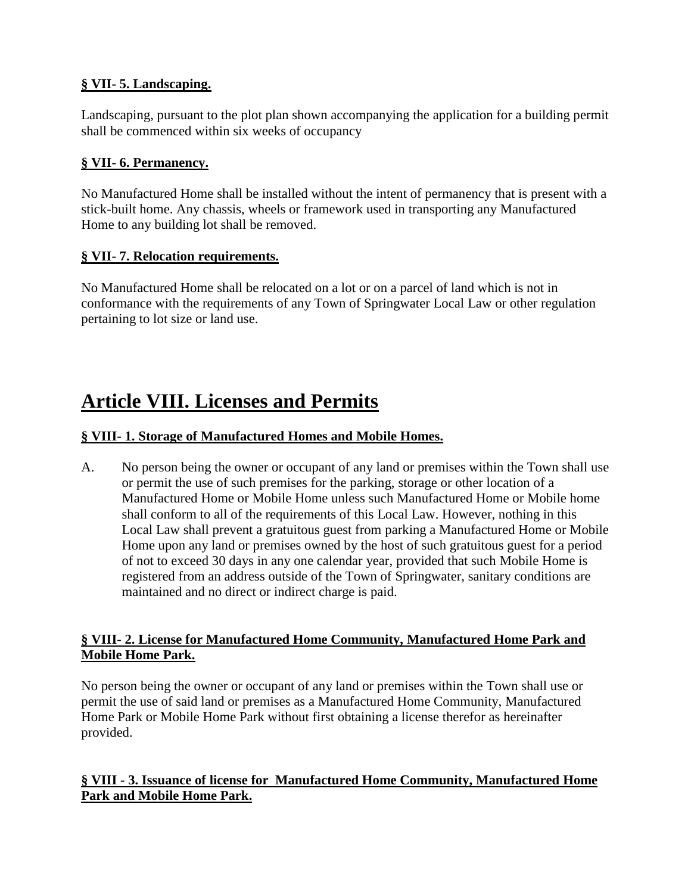# **§ VII- 5. Landscaping.**

Landscaping, pursuant to the plot plan shown accompanying the application for a building permit shall be commenced within six weeks of occupancy

# **§ VII- 6. Permanency.**

No Manufactured Home shall be installed without the intent of permanency that is present with a stick-built home. Any chassis, wheels or framework used in transporting any Manufactured Home to any building lot shall be removed.

# **§ VII- 7. Relocation requirements.**

No Manufactured Home shall be relocated on a lot or on a parcel of land which is not in conformance with the requirements of any Town of Springwater Local Law or other regulation pertaining to lot size or land use.

# **Article VIII. Licenses and Permits**

# **§ VIII- 1. Storage of Manufactured Homes and Mobile Homes.**

A. No person being the owner or occupant of any land or premises within the Town shall use or permit the use of such premises for the parking, storage or other location of a Manufactured Home or Mobile Home unless such Manufactured Home or Mobile home shall conform to all of the requirements of this Local Law. However, nothing in this Local Law shall prevent a gratuitous guest from parking a Manufactured Home or Mobile Home upon any land or premises owned by the host of such gratuitous guest for a period of not to exceed 30 days in any one calendar year, provided that such Mobile Home is registered from an address outside of the Town of Springwater, sanitary conditions are maintained and no direct or indirect charge is paid.

# **§ VIII- 2. License for Manufactured Home Community, Manufactured Home Park and Mobile Home Park.**

No person being the owner or occupant of any land or premises within the Town shall use or permit the use of said land or premises as a Manufactured Home Community, Manufactured Home Park or Mobile Home Park without first obtaining a license therefor as hereinafter provided.

## **§ VIII - 3. Issuance of license for Manufactured Home Community, Manufactured Home Park and Mobile Home Park.**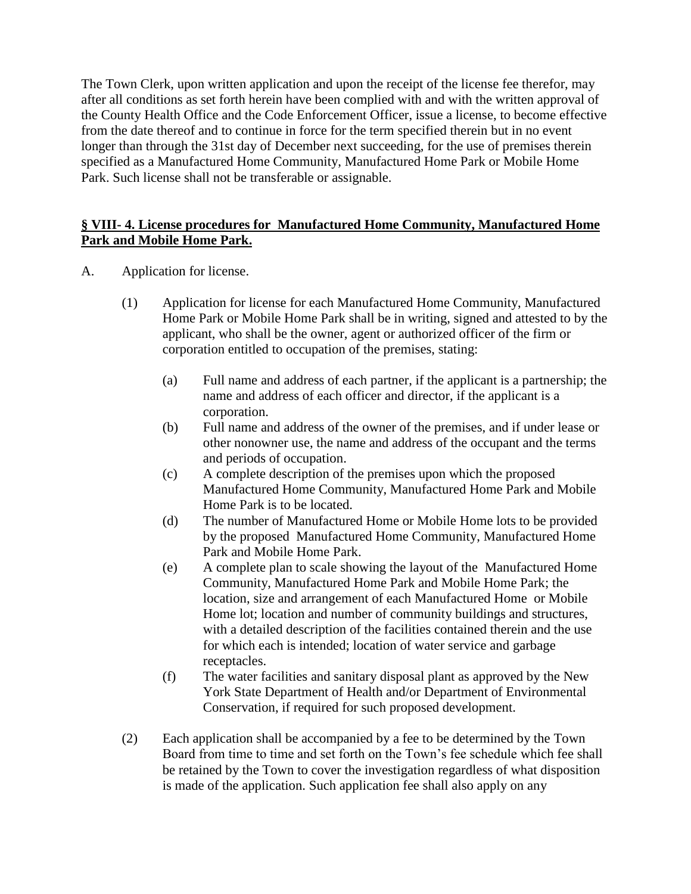The Town Clerk, upon written application and upon the receipt of the license fee therefor, may after all conditions as set forth herein have been complied with and with the written approval of the County Health Office and the Code Enforcement Officer, issue a license, to become effective from the date thereof and to continue in force for the term specified therein but in no event longer than through the 31st day of December next succeeding, for the use of premises therein specified as a Manufactured Home Community, Manufactured Home Park or Mobile Home Park. Such license shall not be transferable or assignable.

# **§ VIII- 4. License procedures for Manufactured Home Community, Manufactured Home Park and Mobile Home Park.**

- A. Application for license.
	- (1) Application for license for each Manufactured Home Community, Manufactured Home Park or Mobile Home Park shall be in writing, signed and attested to by the applicant, who shall be the owner, agent or authorized officer of the firm or corporation entitled to occupation of the premises, stating:
		- (a) Full name and address of each partner, if the applicant is a partnership; the name and address of each officer and director, if the applicant is a corporation.
		- (b) Full name and address of the owner of the premises, and if under lease or other nonowner use, the name and address of the occupant and the terms and periods of occupation.
		- (c) A complete description of the premises upon which the proposed Manufactured Home Community, Manufactured Home Park and Mobile Home Park is to be located.
		- (d) The number of Manufactured Home or Mobile Home lots to be provided by the proposed Manufactured Home Community, Manufactured Home Park and Mobile Home Park.
		- (e) A complete plan to scale showing the layout of the Manufactured Home Community, Manufactured Home Park and Mobile Home Park; the location, size and arrangement of each Manufactured Home or Mobile Home lot; location and number of community buildings and structures, with a detailed description of the facilities contained therein and the use for which each is intended; location of water service and garbage receptacles.
		- (f) The water facilities and sanitary disposal plant as approved by the New York State Department of Health and/or Department of Environmental Conservation, if required for such proposed development.
	- (2) Each application shall be accompanied by a fee to be determined by the Town Board from time to time and set forth on the Town's fee schedule which fee shall be retained by the Town to cover the investigation regardless of what disposition is made of the application. Such application fee shall also apply on any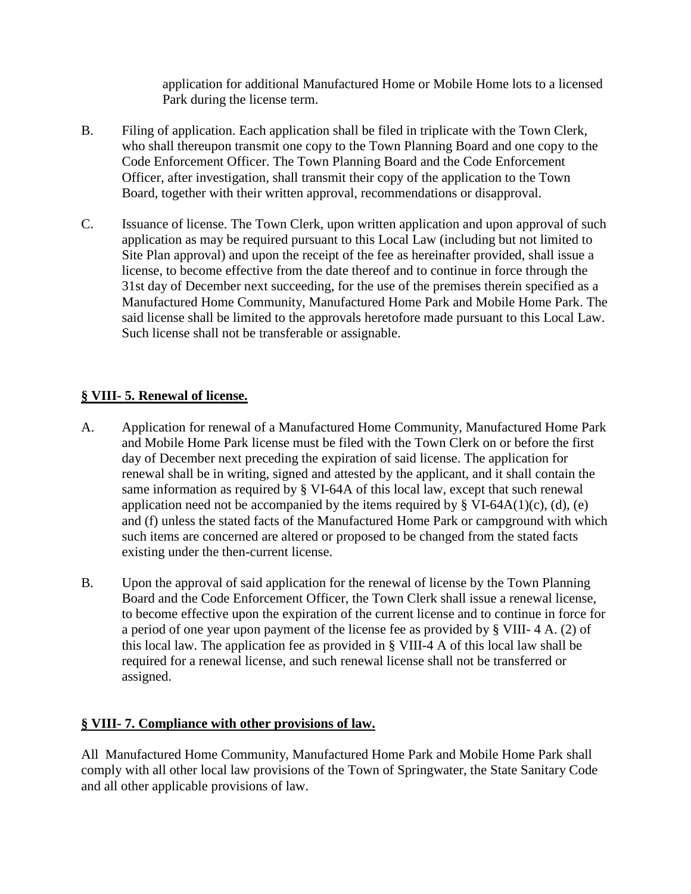application for additional Manufactured Home or Mobile Home lots to a licensed Park during the license term.

- B. Filing of application. Each application shall be filed in triplicate with the Town Clerk, who shall thereupon transmit one copy to the Town Planning Board and one copy to the Code Enforcement Officer. The Town Planning Board and the Code Enforcement Officer, after investigation, shall transmit their copy of the application to the Town Board, together with their written approval, recommendations or disapproval.
- C. Issuance of license. The Town Clerk, upon written application and upon approval of such application as may be required pursuant to this Local Law (including but not limited to Site Plan approval) and upon the receipt of the fee as hereinafter provided, shall issue a license, to become effective from the date thereof and to continue in force through the 31st day of December next succeeding, for the use of the premises therein specified as a Manufactured Home Community, Manufactured Home Park and Mobile Home Park. The said license shall be limited to the approvals heretofore made pursuant to this Local Law. Such license shall not be transferable or assignable.

# **§ VIII- 5. Renewal of license.**

- A. Application for renewal of a Manufactured Home Community, Manufactured Home Park and Mobile Home Park license must be filed with the Town Clerk on or before the first day of December next preceding the expiration of said license. The application for renewal shall be in writing, signed and attested by the applicant, and it shall contain the same information as required by § [VI-64A](http://www.ecode360.com/print/11043699#11043699) of this local law, except that such renewal application need not be accompanied by the items required by  $\S$  [VI-64A\(1\)\(c\),](http://www.ecode360.com/print/11043703#11043703) [\(d\),](http://www.ecode360.com/print/11043704#11043704) [\(e\)](http://www.ecode360.com/print/11043705#11043705) and [\(f\)](http://www.ecode360.com/print/11043706#11043706) unless the stated facts of the Manufactured Home Park or campground with which such items are concerned are altered or proposed to be changed from the stated facts existing under the then-current license.
- B. Upon the approval of said application for the renewal of license by the Town Planning Board and the Code Enforcement Officer, the Town Clerk shall issue a renewal license, to become effective upon the expiration of the current license and to continue in force for a period of one year upon payment of the license fee as provided by § VIII- 4 A. (2) of this local law. The application fee as provided in § VIII-4 A of this local law shall be required for a renewal license, and such renewal license shall not be transferred or assigned.

# **§ VIII- 7. Compliance with other provisions of law.**

All Manufactured Home Community, Manufactured Home Park and Mobile Home Park shall comply with all other local law provisions of the Town of Springwater, the State Sanitary Code and all other applicable provisions of law.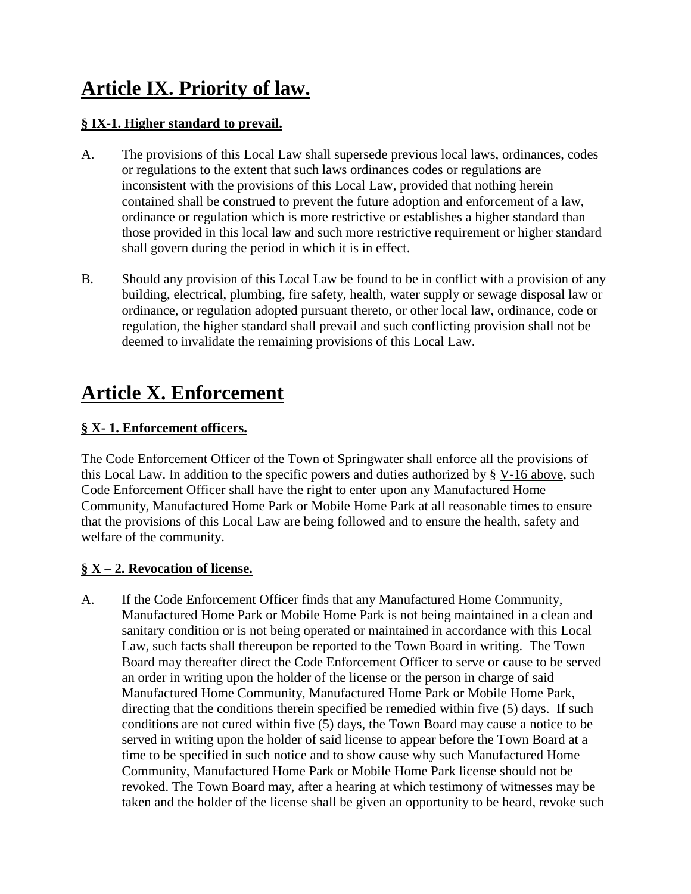# **Article IX. Priority of law.**

# **§ IX-1. Higher standard to prevail.**

- A. The provisions of this Local Law shall supersede previous local laws, ordinances, codes or regulations to the extent that such laws ordinances codes or regulations are inconsistent with the provisions of this Local Law, provided that nothing herein contained shall be construed to prevent the future adoption and enforcement of a law, ordinance or regulation which is more restrictive or establishes a higher standard than those provided in this local law and such more restrictive requirement or higher standard shall govern during the period in which it is in effect.
- B. Should any provision of this Local Law be found to be in conflict with a provision of any building, electrical, plumbing, fire safety, health, water supply or sewage disposal law or ordinance, or regulation adopted pursuant thereto, or other local law, ordinance, code or regulation, the higher standard shall prevail and such conflicting provision shall not be deemed to invalidate the remaining provisions of this Local Law.

# **Article X. Enforcement**

# **§ X- 1. Enforcement officers.**

The Code Enforcement Officer of the Town of Springwater shall enforce all the provisions of this Local Law. In addition to the specific powers and duties authorized by § V-16 above, such Code Enforcement Officer shall have the right to enter upon any Manufactured Home Community, Manufactured Home Park or Mobile Home Park at all reasonable times to ensure that the provisions of this Local Law are being followed and to ensure the health, safety and welfare of the community.

## **§ X – 2. Revocation of license.**

A. If the Code Enforcement Officer finds that any Manufactured Home Community, Manufactured Home Park or Mobile Home Park is not being maintained in a clean and sanitary condition or is not being operated or maintained in accordance with this Local Law, such facts shall thereupon be reported to the Town Board in writing. The Town Board may thereafter direct the Code Enforcement Officer to serve or cause to be served an order in writing upon the holder of the license or the person in charge of said Manufactured Home Community, Manufactured Home Park or Mobile Home Park, directing that the conditions therein specified be remedied within five (5) days. If such conditions are not cured within five (5) days, the Town Board may cause a notice to be served in writing upon the holder of said license to appear before the Town Board at a time to be specified in such notice and to show cause why such Manufactured Home Community, Manufactured Home Park or Mobile Home Park license should not be revoked. The Town Board may, after a hearing at which testimony of witnesses may be taken and the holder of the license shall be given an opportunity to be heard, revoke such